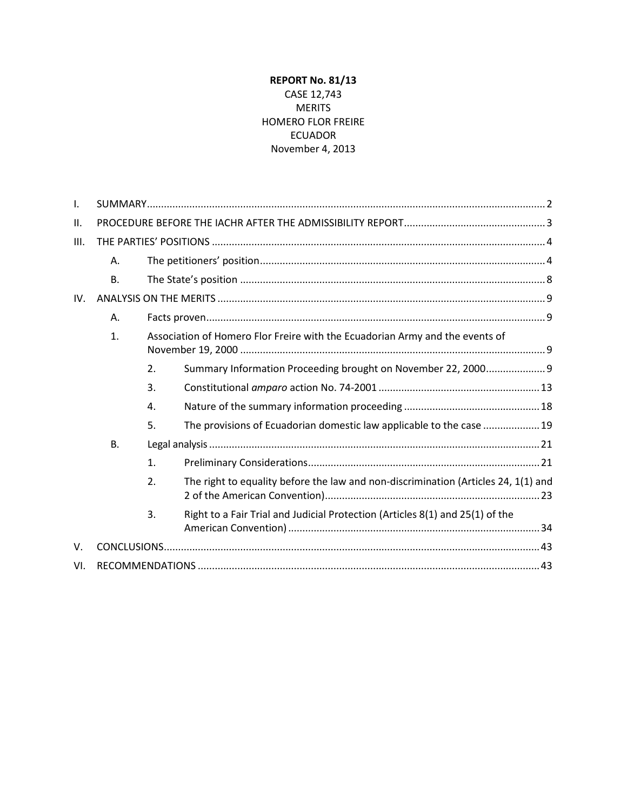# **REPORT No. 81/13** CASE 12,743 MERITS HOMERO FLOR FREIRE ECUADOR November 4, 2013

| Τ.  |           |                                                                              |                                                                                    |  |
|-----|-----------|------------------------------------------------------------------------------|------------------------------------------------------------------------------------|--|
| ΙΙ. |           |                                                                              |                                                                                    |  |
| Ш.  |           |                                                                              |                                                                                    |  |
|     | Α.        |                                                                              |                                                                                    |  |
|     | <b>B.</b> |                                                                              |                                                                                    |  |
| IV. |           |                                                                              |                                                                                    |  |
|     | Α.        |                                                                              |                                                                                    |  |
|     | 1.        | Association of Homero Flor Freire with the Ecuadorian Army and the events of |                                                                                    |  |
|     |           | 2.                                                                           | Summary Information Proceeding brought on November 22, 2000 9                      |  |
|     |           | 3.                                                                           |                                                                                    |  |
|     |           | 4.                                                                           |                                                                                    |  |
|     |           | 5.                                                                           | The provisions of Ecuadorian domestic law applicable to the case  19               |  |
|     | <b>B.</b> |                                                                              |                                                                                    |  |
|     |           | 1.                                                                           |                                                                                    |  |
|     |           | 2.                                                                           | The right to equality before the law and non-discrimination (Articles 24, 1(1) and |  |
|     |           | 3.                                                                           | Right to a Fair Trial and Judicial Protection (Articles 8(1) and 25(1) of the      |  |
| V.  |           |                                                                              |                                                                                    |  |
| VI. |           |                                                                              |                                                                                    |  |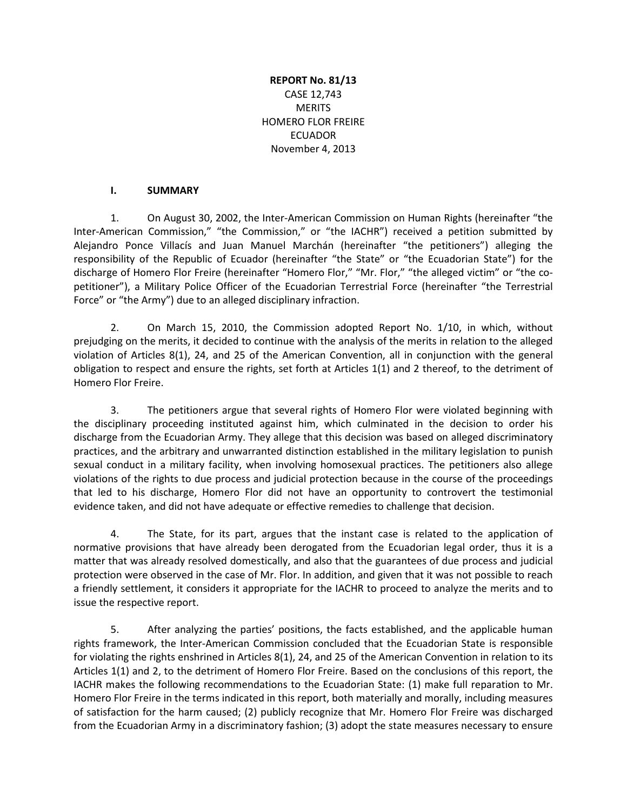# **REPORT No. 81/13** CASE 12,743 **MERITS** HOMERO FLOR FREIRE ECUADOR November 4, 2013

### **I. SUMMARY**

<span id="page-1-0"></span>1. On August 30, 2002, the Inter-American Commission on Human Rights (hereinafter "the Inter-American Commission," "the Commission," or "the IACHR") received a petition submitted by Alejandro Ponce Villacís and Juan Manuel Marchán (hereinafter "the petitioners") alleging the responsibility of the Republic of Ecuador (hereinafter "the State" or "the Ecuadorian State") for the discharge of Homero Flor Freire (hereinafter "Homero Flor," "Mr. Flor," "the alleged victim" or "the copetitioner"), a Military Police Officer of the Ecuadorian Terrestrial Force (hereinafter "the Terrestrial Force" or "the Army") due to an alleged disciplinary infraction.

2. On March 15, 2010, the Commission adopted Report No. 1/10, in which, without prejudging on the merits, it decided to continue with the analysis of the merits in relation to the alleged violation of Articles 8(1), 24, and 25 of the American Convention, all in conjunction with the general obligation to respect and ensure the rights, set forth at Articles 1(1) and 2 thereof, to the detriment of Homero Flor Freire.

3. The petitioners argue that several rights of Homero Flor were violated beginning with the disciplinary proceeding instituted against him, which culminated in the decision to order his discharge from the Ecuadorian Army. They allege that this decision was based on alleged discriminatory practices, and the arbitrary and unwarranted distinction established in the military legislation to punish sexual conduct in a military facility, when involving homosexual practices. The petitioners also allege violations of the rights to due process and judicial protection because in the course of the proceedings that led to his discharge, Homero Flor did not have an opportunity to controvert the testimonial evidence taken, and did not have adequate or effective remedies to challenge that decision.

4. The State, for its part, argues that the instant case is related to the application of normative provisions that have already been derogated from the Ecuadorian legal order, thus it is a matter that was already resolved domestically, and also that the guarantees of due process and judicial protection were observed in the case of Mr. Flor. In addition, and given that it was not possible to reach a friendly settlement, it considers it appropriate for the IACHR to proceed to analyze the merits and to issue the respective report.

5. After analyzing the parties' positions, the facts established, and the applicable human rights framework, the Inter-American Commission concluded that the Ecuadorian State is responsible for violating the rights enshrined in Articles 8(1), 24, and 25 of the American Convention in relation to its Articles 1(1) and 2, to the detriment of Homero Flor Freire. Based on the conclusions of this report, the IACHR makes the following recommendations to the Ecuadorian State: (1) make full reparation to Mr. Homero Flor Freire in the terms indicated in this report, both materially and morally, including measures of satisfaction for the harm caused; (2) publicly recognize that Mr. Homero Flor Freire was discharged from the Ecuadorian Army in a discriminatory fashion; (3) adopt the state measures necessary to ensure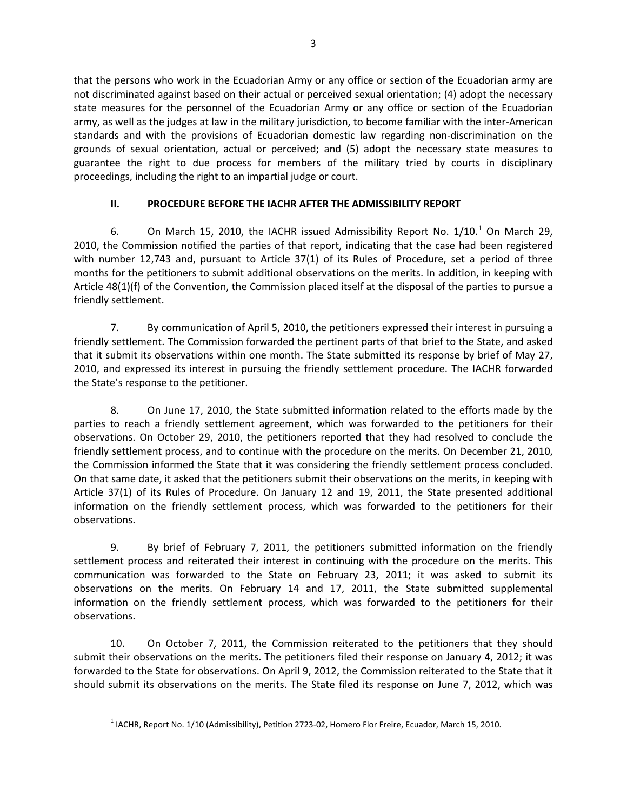that the persons who work in the Ecuadorian Army or any office or section of the Ecuadorian army are not discriminated against based on their actual or perceived sexual orientation; (4) adopt the necessary state measures for the personnel of the Ecuadorian Army or any office or section of the Ecuadorian army, as well as the judges at law in the military jurisdiction, to become familiar with the inter-American standards and with the provisions of Ecuadorian domestic law regarding non-discrimination on the grounds of sexual orientation, actual or perceived; and (5) adopt the necessary state measures to guarantee the right to due process for members of the military tried by courts in disciplinary proceedings, including the right to an impartial judge or court.

# **II. PROCEDURE BEFORE THE IACHR AFTER THE ADMISSIBILITY REPORT**

<span id="page-2-0"></span>6. On March [1](#page-2-1)5, 2010, the IACHR issued Admissibility Report No.  $1/10$ .<sup>1</sup> On March 29, 2010, the Commission notified the parties of that report, indicating that the case had been registered with number 12,743 and, pursuant to Article 37(1) of its Rules of Procedure, set a period of three months for the petitioners to submit additional observations on the merits. In addition, in keeping with Article 48(1)(f) of the Convention, the Commission placed itself at the disposal of the parties to pursue a friendly settlement.

7. By communication of April 5, 2010, the petitioners expressed their interest in pursuing a friendly settlement. The Commission forwarded the pertinent parts of that brief to the State, and asked that it submit its observations within one month. The State submitted its response by brief of May 27, 2010, and expressed its interest in pursuing the friendly settlement procedure. The IACHR forwarded the State's response to the petitioner.

8. On June 17, 2010, the State submitted information related to the efforts made by the parties to reach a friendly settlement agreement, which was forwarded to the petitioners for their observations. On October 29, 2010, the petitioners reported that they had resolved to conclude the friendly settlement process, and to continue with the procedure on the merits. On December 21, 2010, the Commission informed the State that it was considering the friendly settlement process concluded. On that same date, it asked that the petitioners submit their observations on the merits, in keeping with Article 37(1) of its Rules of Procedure. On January 12 and 19, 2011, the State presented additional information on the friendly settlement process, which was forwarded to the petitioners for their observations.

9. By brief of February 7, 2011, the petitioners submitted information on the friendly settlement process and reiterated their interest in continuing with the procedure on the merits. This communication was forwarded to the State on February 23, 2011; it was asked to submit its observations on the merits. On February 14 and 17, 2011, the State submitted supplemental information on the friendly settlement process, which was forwarded to the petitioners for their observations.

10. On October 7, 2011, the Commission reiterated to the petitioners that they should submit their observations on the merits. The petitioners filed their response on January 4, 2012; it was forwarded to the State for observations. On April 9, 2012, the Commission reiterated to the State that it should submit its observations on the merits. The State filed its response on June 7, 2012, which was

<span id="page-2-1"></span><sup>1</sup> IACHR, Report No. 1/10 (Admissibility), Petition 2723-02, Homero Flor Freire, Ecuador, March 15, 2010.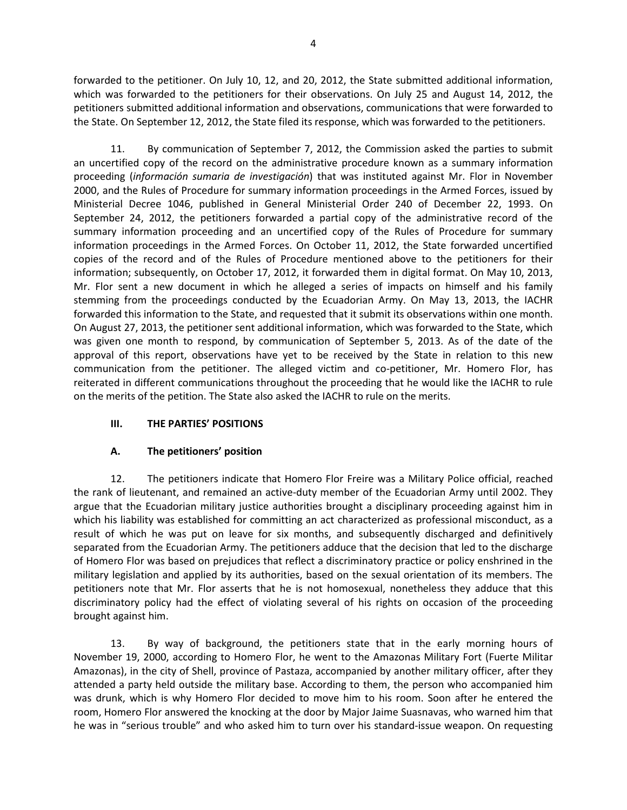forwarded to the petitioner. On July 10, 12, and 20, 2012, the State submitted additional information, which was forwarded to the petitioners for their observations. On July 25 and August 14, 2012, the petitioners submitted additional information and observations, communications that were forwarded to the State. On September 12, 2012, the State filed its response, which was forwarded to the petitioners.

11. By communication of September 7, 2012, the Commission asked the parties to submit an uncertified copy of the record on the administrative procedure known as a summary information proceeding (*información sumaria de investigación*) that was instituted against Mr. Flor in November 2000, and the Rules of Procedure for summary information proceedings in the Armed Forces, issued by Ministerial Decree 1046, published in General Ministerial Order 240 of December 22, 1993. On September 24, 2012, the petitioners forwarded a partial copy of the administrative record of the summary information proceeding and an uncertified copy of the Rules of Procedure for summary information proceedings in the Armed Forces. On October 11, 2012, the State forwarded uncertified copies of the record and of the Rules of Procedure mentioned above to the petitioners for their information; subsequently, on October 17, 2012, it forwarded them in digital format. On May 10, 2013, Mr. Flor sent a new document in which he alleged a series of impacts on himself and his family stemming from the proceedings conducted by the Ecuadorian Army. On May 13, 2013, the IACHR forwarded this information to the State, and requested that it submit its observations within one month. On August 27, 2013, the petitioner sent additional information, which was forwarded to the State, which was given one month to respond, by communication of September 5, 2013. As of the date of the approval of this report, observations have yet to be received by the State in relation to this new communication from the petitioner. The alleged victim and co-petitioner, Mr. Homero Flor, has reiterated in different communications throughout the proceeding that he would like the IACHR to rule on the merits of the petition. The State also asked the IACHR to rule on the merits.

# <span id="page-3-0"></span>**III. THE PARTIES' POSITIONS**

### **A. The petitioners' position**

<span id="page-3-1"></span>12. The petitioners indicate that Homero Flor Freire was a Military Police official, reached the rank of lieutenant, and remained an active-duty member of the Ecuadorian Army until 2002. They argue that the Ecuadorian military justice authorities brought a disciplinary proceeding against him in which his liability was established for committing an act characterized as professional misconduct, as a result of which he was put on leave for six months, and subsequently discharged and definitively separated from the Ecuadorian Army. The petitioners adduce that the decision that led to the discharge of Homero Flor was based on prejudices that reflect a discriminatory practice or policy enshrined in the military legislation and applied by its authorities, based on the sexual orientation of its members. The petitioners note that Mr. Flor asserts that he is not homosexual, nonetheless they adduce that this discriminatory policy had the effect of violating several of his rights on occasion of the proceeding brought against him.

13. By way of background, the petitioners state that in the early morning hours of November 19, 2000, according to Homero Flor, he went to the Amazonas Military Fort (Fuerte Militar Amazonas), in the city of Shell, province of Pastaza, accompanied by another military officer, after they attended a party held outside the military base. According to them, the person who accompanied him was drunk, which is why Homero Flor decided to move him to his room. Soon after he entered the room, Homero Flor answered the knocking at the door by Major Jaime Suasnavas, who warned him that he was in "serious trouble" and who asked him to turn over his standard-issue weapon. On requesting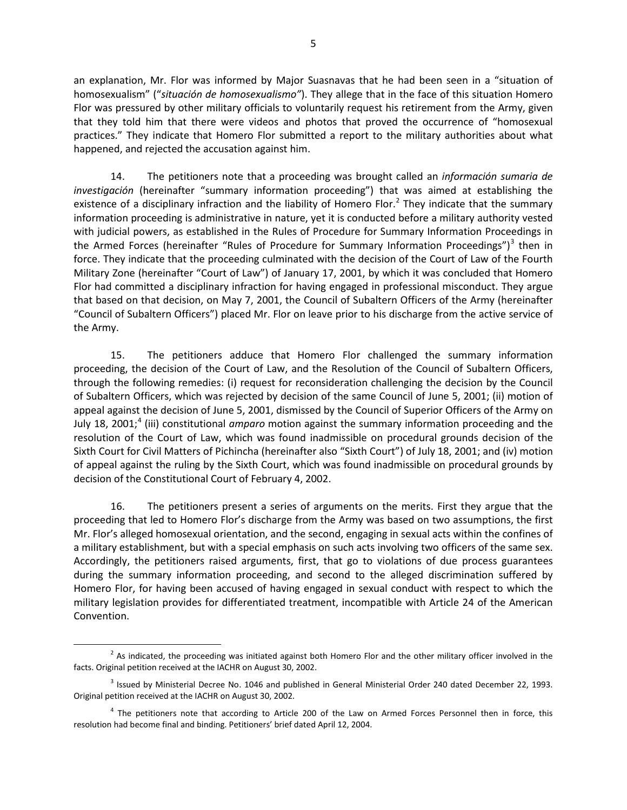an explanation, Mr. Flor was informed by Major Suasnavas that he had been seen in a "situation of homosexualism" ("*situación de homosexualismo"*). They allege that in the face of this situation Homero Flor was pressured by other military officials to voluntarily request his retirement from the Army, given that they told him that there were videos and photos that proved the occurrence of "homosexual practices." They indicate that Homero Flor submitted a report to the military authorities about what happened, and rejected the accusation against him.

14. The petitioners note that a proceeding was brought called an *información sumaria de investigación* (hereinafter "summary information proceeding") that was aimed at establishing the existence of a disciplinary infraction and the liability of Homero Flor.<sup>[2](#page-4-0)</sup> They indicate that the summary information proceeding is administrative in nature, yet it is conducted before a military authority vested with judicial powers, as established in the Rules of Procedure for Summary Information Proceedings in the Armed Forces (hereinafter "Rules of Procedure for Summary Information Proceedings")<sup>[3](#page-4-1)</sup> then in force. They indicate that the proceeding culminated with the decision of the Court of Law of the Fourth Military Zone (hereinafter "Court of Law") of January 17, 2001, by which it was concluded that Homero Flor had committed a disciplinary infraction for having engaged in professional misconduct. They argue that based on that decision, on May 7, 2001, the Council of Subaltern Officers of the Army (hereinafter "Council of Subaltern Officers") placed Mr. Flor on leave prior to his discharge from the active service of the Army.

15. The petitioners adduce that Homero Flor challenged the summary information proceeding, the decision of the Court of Law, and the Resolution of the Council of Subaltern Officers, through the following remedies: (i) request for reconsideration challenging the decision by the Council of Subaltern Officers, which was rejected by decision of the same Council of June 5, 2001; (ii) motion of appeal against the decision of June 5, 2001, dismissed by the Council of Superior Officers of the Army on July 18, 2001; [4](#page-4-2) (iii) constitutional *amparo* motion against the summary information proceeding and the resolution of the Court of Law, which was found inadmissible on procedural grounds decision of the Sixth Court for Civil Matters of Pichincha (hereinafter also "Sixth Court") of July 18, 2001; and (iv) motion of appeal against the ruling by the Sixth Court, which was found inadmissible on procedural grounds by decision of the Constitutional Court of February 4, 2002.

16. The petitioners present a series of arguments on the merits. First they argue that the proceeding that led to Homero Flor's discharge from the Army was based on two assumptions, the first Mr. Flor's alleged homosexual orientation, and the second, engaging in sexual acts within the confines of a military establishment, but with a special emphasis on such acts involving two officers of the same sex. Accordingly, the petitioners raised arguments, first, that go to violations of due process guarantees during the summary information proceeding, and second to the alleged discrimination suffered by Homero Flor, for having been accused of having engaged in sexual conduct with respect to which the military legislation provides for differentiated treatment, incompatible with Article 24 of the American Convention.

<span id="page-4-0"></span> $2$  As indicated, the proceeding was initiated against both Homero Flor and the other military officer involved in the facts. Original petition received at the IACHR on August 30, 2002.

<span id="page-4-1"></span><sup>&</sup>lt;sup>3</sup> Issued by Ministerial Decree No. 1046 and published in General Ministerial Order 240 dated December 22, 1993. Original petition received at the IACHR on August 30, 2002.

<span id="page-4-2"></span><sup>&</sup>lt;sup>4</sup> The petitioners note that according to Article 200 of the Law on Armed Forces Personnel then in force, this resolution had become final and binding. Petitioners' brief dated April 12, 2004.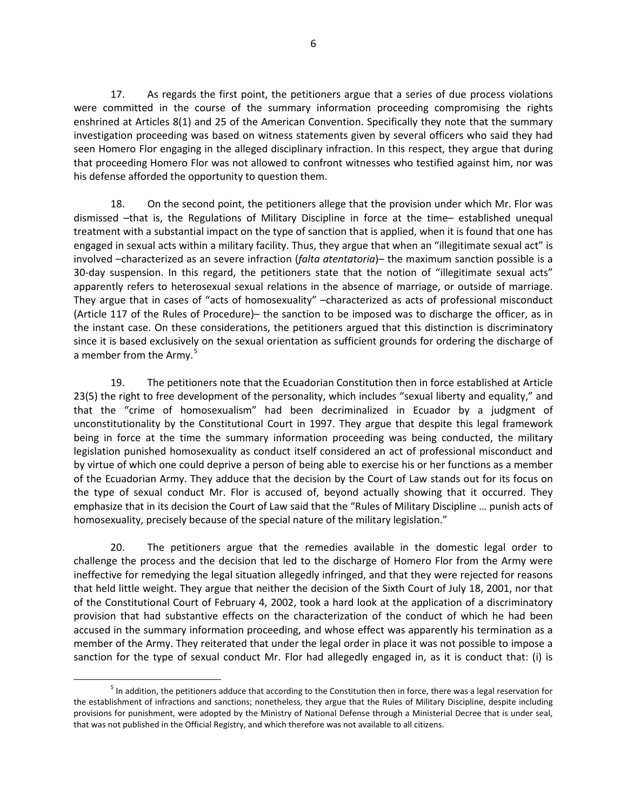17. As regards the first point, the petitioners argue that a series of due process violations were committed in the course of the summary information proceeding compromising the rights enshrined at Articles 8(1) and 25 of the American Convention. Specifically they note that the summary investigation proceeding was based on witness statements given by several officers who said they had seen Homero Flor engaging in the alleged disciplinary infraction. In this respect, they argue that during that proceeding Homero Flor was not allowed to confront witnesses who testified against him, nor was his defense afforded the opportunity to question them.

18. On the second point, the petitioners allege that the provision under which Mr. Flor was dismissed –that is, the Regulations of Military Discipline in force at the time– established unequal treatment with a substantial impact on the type of sanction that is applied, when it is found that one has engaged in sexual acts within a military facility. Thus, they argue that when an "illegitimate sexual act" is involved –characterized as an severe infraction (*falta atentatoria*)– the maximum sanction possible is a 30-day suspension. In this regard, the petitioners state that the notion of "illegitimate sexual acts" apparently refers to heterosexual sexual relations in the absence of marriage, or outside of marriage. They argue that in cases of "acts of homosexuality" –characterized as acts of professional misconduct (Article 117 of the Rules of Procedure)– the sanction to be imposed was to discharge the officer, as in the instant case. On these considerations, the petitioners argued that this distinction is discriminatory since it is based exclusively on the sexual orientation as sufficient grounds for ordering the discharge of a member from the Army.<sup>[5](#page-5-0)</sup>

19. The petitioners note that the Ecuadorian Constitution then in force established at Article 23(5) the right to free development of the personality, which includes "sexual liberty and equality," and that the "crime of homosexualism" had been decriminalized in Ecuador by a judgment of unconstitutionality by the Constitutional Court in 1997. They argue that despite this legal framework being in force at the time the summary information proceeding was being conducted, the military legislation punished homosexuality as conduct itself considered an act of professional misconduct and by virtue of which one could deprive a person of being able to exercise his or her functions as a member of the Ecuadorian Army. They adduce that the decision by the Court of Law stands out for its focus on the type of sexual conduct Mr. Flor is accused of, beyond actually showing that it occurred. They emphasize that in its decision the Court of Law said that the "Rules of Military Discipline … punish acts of homosexuality, precisely because of the special nature of the military legislation."

20. The petitioners argue that the remedies available in the domestic legal order to challenge the process and the decision that led to the discharge of Homero Flor from the Army were ineffective for remedying the legal situation allegedly infringed, and that they were rejected for reasons that held little weight. They argue that neither the decision of the Sixth Court of July 18, 2001, nor that of the Constitutional Court of February 4, 2002, took a hard look at the application of a discriminatory provision that had substantive effects on the characterization of the conduct of which he had been accused in the summary information proceeding, and whose effect was apparently his termination as a member of the Army. They reiterated that under the legal order in place it was not possible to impose a sanction for the type of sexual conduct Mr. Flor had allegedly engaged in, as it is conduct that: (i) is

<span id="page-5-0"></span> $<sup>5</sup>$  In addition, the petitioners adduce that according to the Constitution then in force, there was a legal reservation for</sup> the establishment of infractions and sanctions; nonetheless, they argue that the Rules of Military Discipline, despite including provisions for punishment, were adopted by the Ministry of National Defense through a Ministerial Decree that is under seal, that was not published in the Official Registry, and which therefore was not available to all citizens.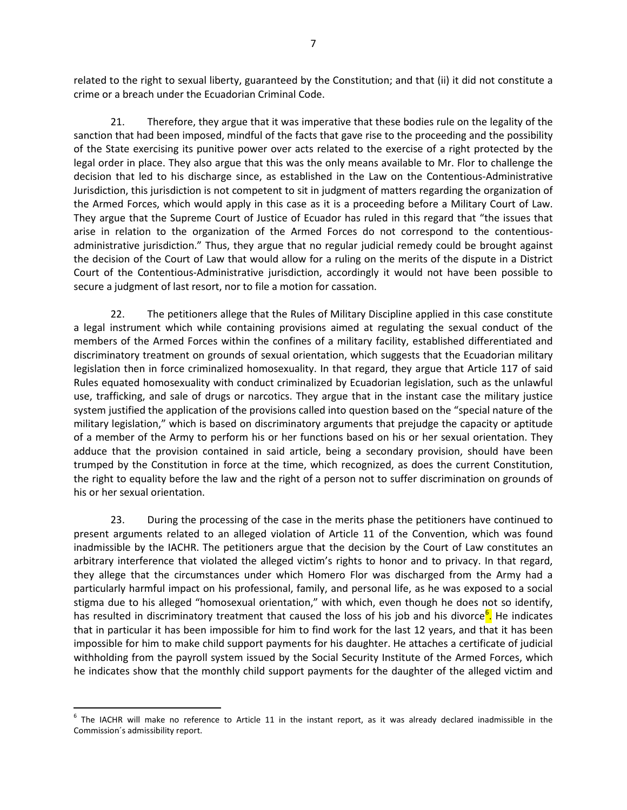related to the right to sexual liberty, guaranteed by the Constitution; and that (ii) it did not constitute a crime or a breach under the Ecuadorian Criminal Code.

21. Therefore, they argue that it was imperative that these bodies rule on the legality of the sanction that had been imposed, mindful of the facts that gave rise to the proceeding and the possibility of the State exercising its punitive power over acts related to the exercise of a right protected by the legal order in place. They also argue that this was the only means available to Mr. Flor to challenge the decision that led to his discharge since, as established in the Law on the Contentious-Administrative Jurisdiction, this jurisdiction is not competent to sit in judgment of matters regarding the organization of the Armed Forces, which would apply in this case as it is a proceeding before a Military Court of Law. They argue that the Supreme Court of Justice of Ecuador has ruled in this regard that "the issues that arise in relation to the organization of the Armed Forces do not correspond to the contentiousadministrative jurisdiction." Thus, they argue that no regular judicial remedy could be brought against the decision of the Court of Law that would allow for a ruling on the merits of the dispute in a District Court of the Contentious-Administrative jurisdiction, accordingly it would not have been possible to secure a judgment of last resort, nor to file a motion for cassation.

22. The petitioners allege that the Rules of Military Discipline applied in this case constitute a legal instrument which while containing provisions aimed at regulating the sexual conduct of the members of the Armed Forces within the confines of a military facility, established differentiated and discriminatory treatment on grounds of sexual orientation, which suggests that the Ecuadorian military legislation then in force criminalized homosexuality. In that regard, they argue that Article 117 of said Rules equated homosexuality with conduct criminalized by Ecuadorian legislation, such as the unlawful use, trafficking, and sale of drugs or narcotics. They argue that in the instant case the military justice system justified the application of the provisions called into question based on the "special nature of the military legislation," which is based on discriminatory arguments that prejudge the capacity or aptitude of a member of the Army to perform his or her functions based on his or her sexual orientation. They adduce that the provision contained in said article, being a secondary provision, should have been trumped by the Constitution in force at the time, which recognized, as does the current Constitution, the right to equality before the law and the right of a person not to suffer discrimination on grounds of his or her sexual orientation.

23. During the processing of the case in the merits phase the petitioners have continued to present arguments related to an alleged violation of Article 11 of the Convention, which was found inadmissible by the IACHR. The petitioners argue that the decision by the Court of Law constitutes an arbitrary interference that violated the alleged victim's rights to honor and to privacy. In that regard, they allege that the circumstances under which Homero Flor was discharged from the Army had a particularly harmful impact on his professional, family, and personal life, as he was exposed to a social stigma due to his alleged "homosexual orientation," with which, even though he does not so identify, has resulted in discriminatory treatment that caused the loss of his job and his divorce<sup>[6](#page-6-0)</sup>. He indicates that in particular it has been impossible for him to find work for the last 12 years, and that it has been impossible for him to make child support payments for his daughter. He attaches a certificate of judicial withholding from the payroll system issued by the Social Security Institute of the Armed Forces, which he indicates show that the monthly child support payments for the daughter of the alleged victim and

<span id="page-6-0"></span> $6$  The IACHR will make no reference to Article 11 in the instant report, as it was already declared inadmissible in the Commission´s admissibility report.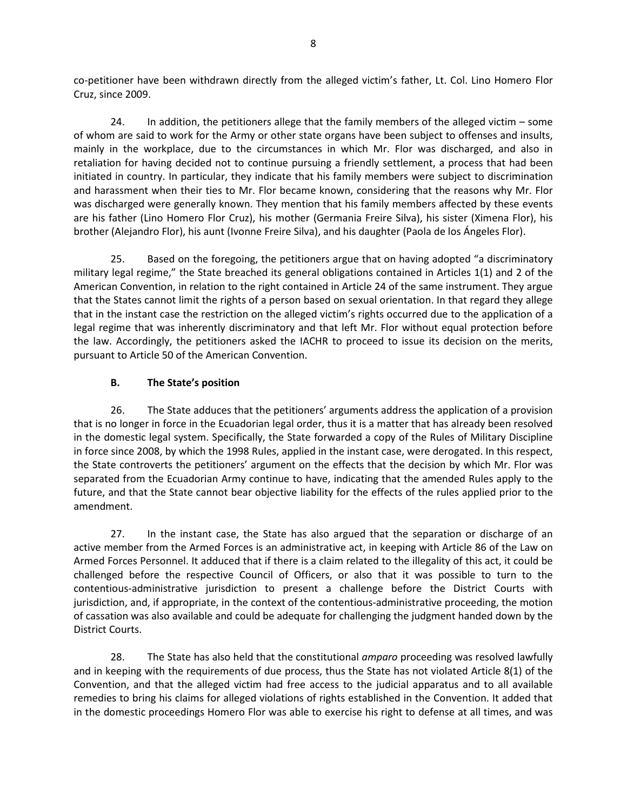co-petitioner have been withdrawn directly from the alleged victim's father, Lt. Col. Lino Homero Flor Cruz, since 2009.

24. In addition, the petitioners allege that the family members of the alleged victim – some of whom are said to work for the Army or other state organs have been subject to offenses and insults, mainly in the workplace, due to the circumstances in which Mr. Flor was discharged, and also in retaliation for having decided not to continue pursuing a friendly settlement, a process that had been initiated in country. In particular, they indicate that his family members were subject to discrimination and harassment when their ties to Mr. Flor became known, considering that the reasons why Mr. Flor was discharged were generally known. They mention that his family members affected by these events are his father (Lino Homero Flor Cruz), his mother (Germania Freire Silva), his sister (Ximena Flor), his brother (Alejandro Flor), his aunt (Ivonne Freire Silva), and his daughter (Paola de los Ángeles Flor).

25. Based on the foregoing, the petitioners argue that on having adopted "a discriminatory military legal regime," the State breached its general obligations contained in Articles 1(1) and 2 of the American Convention, in relation to the right contained in Article 24 of the same instrument. They argue that the States cannot limit the rights of a person based on sexual orientation. In that regard they allege that in the instant case the restriction on the alleged victim's rights occurred due to the application of a legal regime that was inherently discriminatory and that left Mr. Flor without equal protection before the law. Accordingly, the petitioners asked the IACHR to proceed to issue its decision on the merits, pursuant to Article 50 of the American Convention.

# **B. The State's position**

<span id="page-7-0"></span>26. The State adduces that the petitioners' arguments address the application of a provision that is no longer in force in the Ecuadorian legal order, thus it is a matter that has already been resolved in the domestic legal system. Specifically, the State forwarded a copy of the Rules of Military Discipline in force since 2008, by which the 1998 Rules, applied in the instant case, were derogated. In this respect, the State controverts the petitioners' argument on the effects that the decision by which Mr. Flor was separated from the Ecuadorian Army continue to have, indicating that the amended Rules apply to the future, and that the State cannot bear objective liability for the effects of the rules applied prior to the amendment.

27. In the instant case, the State has also argued that the separation or discharge of an active member from the Armed Forces is an administrative act, in keeping with Article 86 of the Law on Armed Forces Personnel. It adduced that if there is a claim related to the illegality of this act, it could be challenged before the respective Council of Officers, or also that it was possible to turn to the contentious-administrative jurisdiction to present a challenge before the District Courts with jurisdiction, and, if appropriate, in the context of the contentious-administrative proceeding, the motion of cassation was also available and could be adequate for challenging the judgment handed down by the District Courts.

28. The State has also held that the constitutional *amparo* proceeding was resolved lawfully and in keeping with the requirements of due process, thus the State has not violated Article 8(1) of the Convention, and that the alleged victim had free access to the judicial apparatus and to all available remedies to bring his claims for alleged violations of rights established in the Convention. It added that in the domestic proceedings Homero Flor was able to exercise his right to defense at all times, and was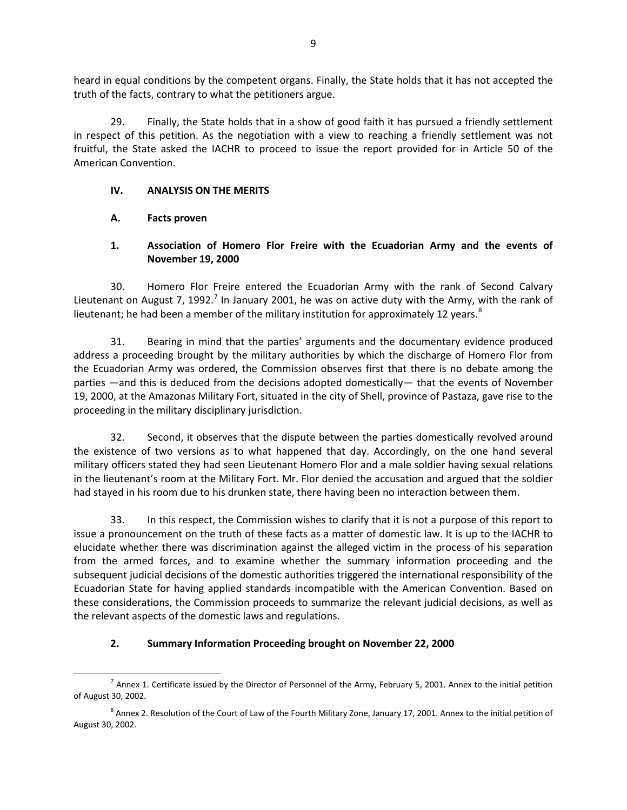heard in equal conditions by the competent organs. Finally, the State holds that it has not accepted the truth of the facts, contrary to what the petitioners argue.

29. Finally, the State holds that in a show of good faith it has pursued a friendly settlement in respect of this petition. As the negotiation with a view to reaching a friendly settlement was not fruitful, the State asked the IACHR to proceed to issue the report provided for in Article 50 of the American Convention.

### <span id="page-8-0"></span>**IV. ANALYSIS ON THE MERITS**

# <span id="page-8-1"></span>**A. Facts proven**

# <span id="page-8-2"></span>**1. Association of Homero Flor Freire with the Ecuadorian Army and the events of November 19, 2000**

30. Homero Flor Freire entered the Ecuadorian Army with the rank of Second Calvary Lieutenant on August [7](#page-8-4), 1992.<sup>7</sup> In January 2001, he was on active duty with the Army, with the rank of lieutenant; he had been a member of the military institution for approximately 12 years. $8$ 

31. Bearing in mind that the parties' arguments and the documentary evidence produced address a proceeding brought by the military authorities by which the discharge of Homero Flor from the Ecuadorian Army was ordered, the Commission observes first that there is no debate among the parties —and this is deduced from the decisions adopted domestically— that the events of November 19, 2000, at the Amazonas Military Fort, situated in the city of Shell, province of Pastaza, gave rise to the proceeding in the military disciplinary jurisdiction.

32. Second, it observes that the dispute between the parties domestically revolved around the existence of two versions as to what happened that day. Accordingly, on the one hand several military officers stated they had seen Lieutenant Homero Flor and a male soldier having sexual relations in the lieutenant's room at the Military Fort. Mr. Flor denied the accusation and argued that the soldier had stayed in his room due to his drunken state, there having been no interaction between them.

33. In this respect, the Commission wishes to clarify that it is not a purpose of this report to issue a pronouncement on the truth of these facts as a matter of domestic law. It is up to the IACHR to elucidate whether there was discrimination against the alleged victim in the process of his separation from the armed forces, and to examine whether the summary information proceeding and the subsequent judicial decisions of the domestic authorities triggered the international responsibility of the Ecuadorian State for having applied standards incompatible with the American Convention. Based on these considerations, the Commission proceeds to summarize the relevant judicial decisions, as well as the relevant aspects of the domestic laws and regulations.

# <span id="page-8-3"></span>**2. Summary Information Proceeding brought on November 22, 2000**

<span id="page-8-4"></span> $<sup>7</sup>$  Annex 1. Certificate issued by the Director of Personnel of the Army, February 5, 2001. Annex to the initial petition</sup> of August 30, 2002.

<span id="page-8-5"></span> $8$  Annex 2. Resolution of the Court of Law of the Fourth Military Zone, January 17, 2001. Annex to the initial petition of August 30, 2002.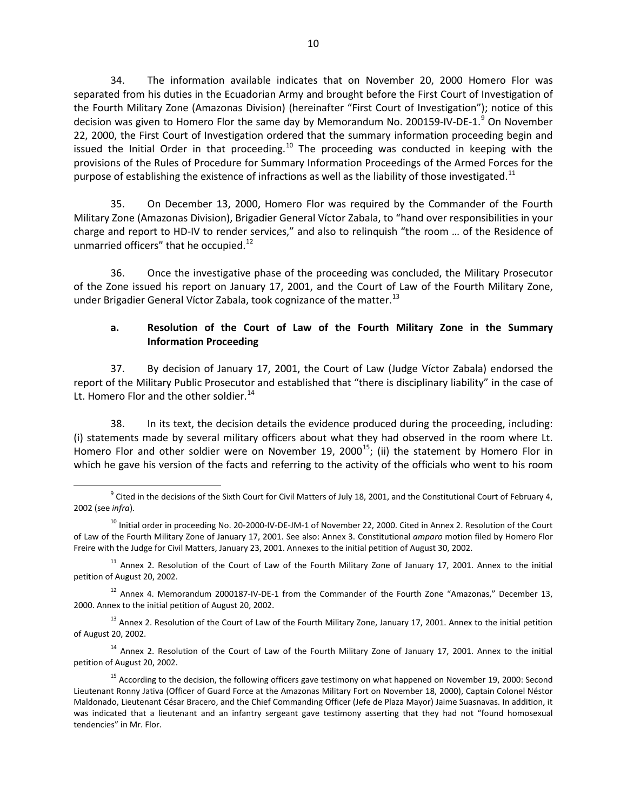34. The information available indicates that on November 20, 2000 Homero Flor was separated from his duties in the Ecuadorian Army and brought before the First Court of Investigation of the Fourth Military Zone (Amazonas Division) (hereinafter "First Court of Investigation"); notice of this decision was given to Homero Flor the same day by Memorandum No. 20015[9](#page-9-0)-IV-DE-1.<sup>9</sup> On November 22, 2000, the First Court of Investigation ordered that the summary information proceeding begin and issued the Initial Order in that proceeding.<sup>[10](#page-9-1)</sup> The proceeding was conducted in keeping with the provisions of the Rules of Procedure for Summary Information Proceedings of the Armed Forces for the purpose of establishing the existence of infractions as well as the liability of those investigated.<sup>[11](#page-9-2)</sup>

35. On December 13, 2000, Homero Flor was required by the Commander of the Fourth Military Zone (Amazonas Division), Brigadier General Víctor Zabala, to "hand over responsibilities in your charge and report to HD-IV to render services," and also to relinquish "the room … of the Residence of unmarried officers" that he occupied.<sup>[12](#page-9-3)</sup>

36. Once the investigative phase of the proceeding was concluded, the Military Prosecutor of the Zone issued his report on January 17, 2001, and the Court of Law of the Fourth Military Zone, under Brigadier General Víctor Zabala, took cognizance of the matter.<sup>[13](#page-9-4)</sup>

# **a. Resolution of the Court of Law of the Fourth Military Zone in the Summary Information Proceeding**

37. By decision of January 17, 2001, the Court of Law (Judge Víctor Zabala) endorsed the report of the Military Public Prosecutor and established that "there is disciplinary liability" in the case of Lt. Homero Flor and the other soldier.<sup>[14](#page-9-5)</sup>

38. In its text, the decision details the evidence produced during the proceeding, including: (i) statements made by several military officers about what they had observed in the room where Lt. Homero Flor and other soldier were on November 19, 2000<sup>[15](#page-9-6)</sup>; (ii) the statement by Homero Flor in which he gave his version of the facts and referring to the activity of the officials who went to his room

<span id="page-9-0"></span> $9$  Cited in the decisions of the Sixth Court for Civil Matters of July 18, 2001, and the Constitutional Court of February 4, 2002 (see *infra*).

<span id="page-9-1"></span> $^{10}$  Initial order in proceeding No. 20-2000-IV-DE-JM-1 of November 22, 2000. Cited in Annex 2. Resolution of the Court of Law of the Fourth Military Zone of January 17, 2001. See also: Annex 3. Constitutional *amparo* motion filed by Homero Flor Freire with the Judge for Civil Matters, January 23, 2001. Annexes to the initial petition of August 30, 2002.

<span id="page-9-2"></span> $11$  Annex 2. Resolution of the Court of Law of the Fourth Military Zone of January 17, 2001. Annex to the initial petition of August 20, 2002.

<span id="page-9-3"></span> $12$  Annex 4. Memorandum 2000187-IV-DE-1 from the Commander of the Fourth Zone "Amazonas," December 13, 2000. Annex to the initial petition of August 20, 2002.

<span id="page-9-4"></span><sup>&</sup>lt;sup>13</sup> Annex 2. Resolution of the Court of Law of the Fourth Military Zone, January 17, 2001. Annex to the initial petition of August 20, 2002.

<span id="page-9-5"></span><sup>&</sup>lt;sup>14</sup> Annex 2. Resolution of the Court of Law of the Fourth Military Zone of January 17, 2001. Annex to the initial petition of August 20, 2002.

<span id="page-9-6"></span><sup>&</sup>lt;sup>15</sup> According to the decision, the following officers gave testimony on what happened on November 19, 2000: Second Lieutenant Ronny Jativa (Officer of Guard Force at the Amazonas Military Fort on November 18, 2000), Captain Colonel Néstor Maldonado, Lieutenant César Bracero, and the Chief Commanding Officer (Jefe de Plaza Mayor) Jaime Suasnavas. In addition, it was indicated that a lieutenant and an infantry sergeant gave testimony asserting that they had not "found homosexual tendencies" in Mr. Flor.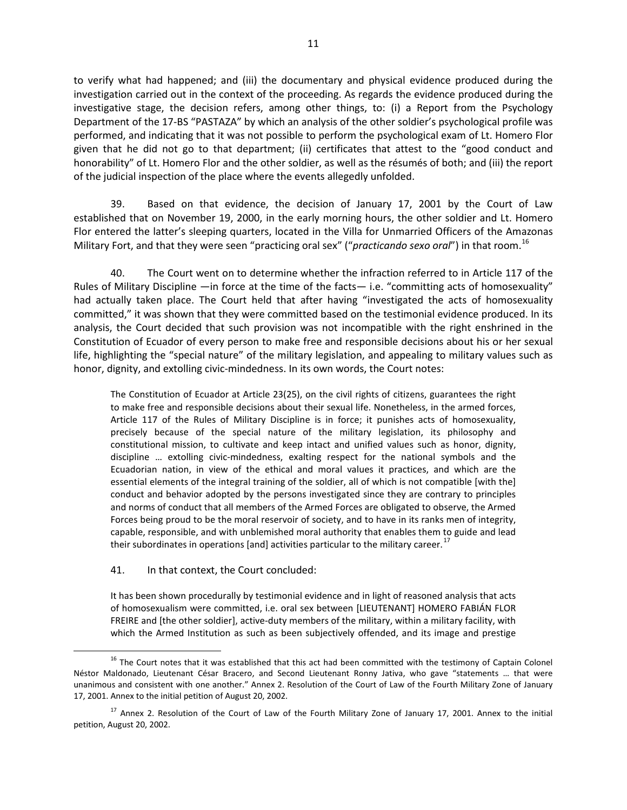to verify what had happened; and (iii) the documentary and physical evidence produced during the investigation carried out in the context of the proceeding. As regards the evidence produced during the investigative stage, the decision refers, among other things, to: (i) a Report from the Psychology Department of the 17-BS "PASTAZA" by which an analysis of the other soldier's psychological profile was performed, and indicating that it was not possible to perform the psychological exam of Lt. Homero Flor given that he did not go to that department; (ii) certificates that attest to the "good conduct and honorability" of Lt. Homero Flor and the other soldier, as well as the résumés of both; and (iii) the report of the judicial inspection of the place where the events allegedly unfolded.

39. Based on that evidence, the decision of January 17, 2001 by the Court of Law established that on November 19, 2000, in the early morning hours, the other soldier and Lt. Homero Flor entered the latter's sleeping quarters, located in the Villa for Unmarried Officers of the Amazonas Military Fort, and that they were seen "practicing oral sex" ("*practicando sexo oral*") in that room.[16](#page-10-0)

40. The Court went on to determine whether the infraction referred to in Article 117 of the Rules of Military Discipline —in force at the time of the facts— i.e. "committing acts of homosexuality" had actually taken place. The Court held that after having "investigated the acts of homosexuality committed," it was shown that they were committed based on the testimonial evidence produced. In its analysis, the Court decided that such provision was not incompatible with the right enshrined in the Constitution of Ecuador of every person to make free and responsible decisions about his or her sexual life, highlighting the "special nature" of the military legislation, and appealing to military values such as honor, dignity, and extolling civic-mindedness. In its own words, the Court notes:

The Constitution of Ecuador at Article 23(25), on the civil rights of citizens, guarantees the right to make free and responsible decisions about their sexual life. Nonetheless, in the armed forces, Article 117 of the Rules of Military Discipline is in force; it punishes acts of homosexuality, precisely because of the special nature of the military legislation, its philosophy and constitutional mission, to cultivate and keep intact and unified values such as honor, dignity, discipline … extolling civic-mindedness, exalting respect for the national symbols and the Ecuadorian nation, in view of the ethical and moral values it practices, and which are the essential elements of the integral training of the soldier, all of which is not compatible [with the] conduct and behavior adopted by the persons investigated since they are contrary to principles and norms of conduct that all members of the Armed Forces are obligated to observe, the Armed Forces being proud to be the moral reservoir of society, and to have in its ranks men of integrity, capable, responsible, and with unblemished moral authority that enables them to guide and lead their subordinates in operations [and] activities particular to the military career.<sup>[17](#page-10-1)</sup>

#### 41. In that context, the Court concluded:

It has been shown procedurally by testimonial evidence and in light of reasoned analysis that acts of homosexualism were committed, i.e. oral sex between [LIEUTENANT] HOMERO FABIÁN FLOR FREIRE and [the other soldier], active-duty members of the military, within a military facility, with which the Armed Institution as such as been subjectively offended, and its image and prestige

<span id="page-10-0"></span><sup>&</sup>lt;sup>16</sup> The Court notes that it was established that this act had been committed with the testimony of Captain Colonel Néstor Maldonado, Lieutenant César Bracero, and Second Lieutenant Ronny Jativa, who gave "statements … that were unanimous and consistent with one another." Annex 2. Resolution of the Court of Law of the Fourth Military Zone of January 17, 2001. Annex to the initial petition of August 20, 2002.

<span id="page-10-1"></span><sup>&</sup>lt;sup>17</sup> Annex 2. Resolution of the Court of Law of the Fourth Military Zone of January 17, 2001. Annex to the initial petition, August 20, 2002.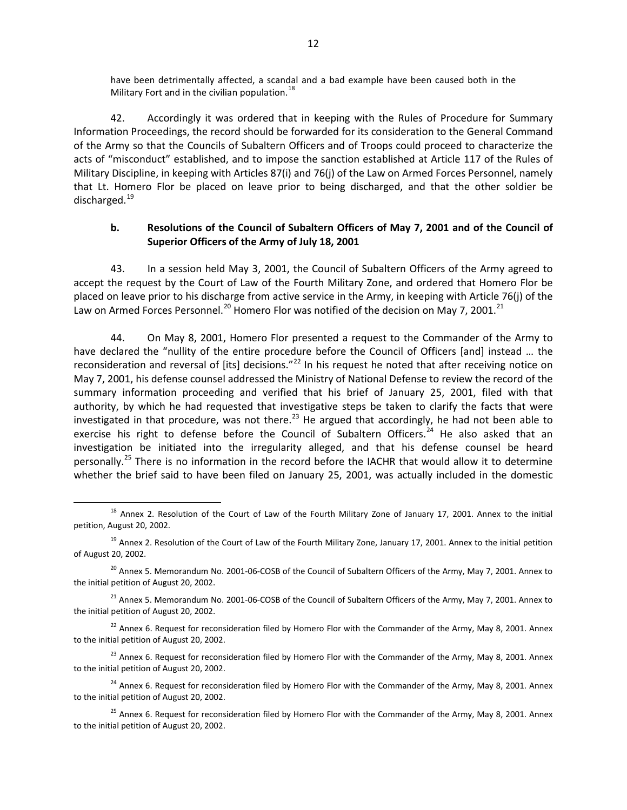have been detrimentally affected, a scandal and a bad example have been caused both in the Military Fort and in the civilian population. $^{18}$  $^{18}$  $^{18}$ 

42. Accordingly it was ordered that in keeping with the Rules of Procedure for Summary Information Proceedings, the record should be forwarded for its consideration to the General Command of the Army so that the Councils of Subaltern Officers and of Troops could proceed to characterize the acts of "misconduct" established, and to impose the sanction established at Article 117 of the Rules of Military Discipline, in keeping with Articles 87(i) and 76(j) of the Law on Armed Forces Personnel, namely that Lt. Homero Flor be placed on leave prior to being discharged, and that the other soldier be discharged.<sup>[19](#page-11-1)</sup>

### **b. Resolutions of the Council of Subaltern Officers of May 7, 2001 and of the Council of Superior Officers of the Army of July 18, 2001**

43. In a session held May 3, 2001, the Council of Subaltern Officers of the Army agreed to accept the request by the Court of Law of the Fourth Military Zone, and ordered that Homero Flor be placed on leave prior to his discharge from active service in the Army, in keeping with Article 76(j) of the Law on Armed Forces Personnel.<sup>[20](#page-11-2)</sup> Homero Flor was notified of the decision on May 7, 2001.<sup>[21](#page-11-3)</sup>

44. On May 8, 2001, Homero Flor presented a request to the Commander of the Army to have declared the "nullity of the entire procedure before the Council of Officers [and] instead … the reconsideration and reversal of [its] decisions."<sup>[22](#page-11-4)</sup> In his request he noted that after receiving notice on May 7, 2001, his defense counsel addressed the Ministry of National Defense to review the record of the summary information proceeding and verified that his brief of January 25, 2001, filed with that authority, by which he had requested that investigative steps be taken to clarify the facts that were investigated in that procedure, was not there.<sup>[23](#page-11-5)</sup> He argued that accordingly, he had not been able to exercise his right to defense before the Council of Subaltern Officers.<sup>[24](#page-11-6)</sup> He also asked that an investigation be initiated into the irregularity alleged, and that his defense counsel be heard personally.<sup>[25](#page-11-7)</sup> There is no information in the record before the IACHR that would allow it to determine whether the brief said to have been filed on January 25, 2001, was actually included in the domestic

<span id="page-11-0"></span><sup>&</sup>lt;sup>18</sup> Annex 2. Resolution of the Court of Law of the Fourth Military Zone of January 17, 2001. Annex to the initial petition, August 20, 2002.

<span id="page-11-1"></span> $19$  Annex 2. Resolution of the Court of Law of the Fourth Military Zone, January 17, 2001. Annex to the initial petition of August 20, 2002.

<span id="page-11-2"></span> $^{20}$  Annex 5. Memorandum No. 2001-06-COSB of the Council of Subaltern Officers of the Army, May 7, 2001. Annex to the initial petition of August 20, 2002.

<span id="page-11-3"></span> $^{21}$  Annex 5. Memorandum No. 2001-06-COSB of the Council of Subaltern Officers of the Army, May 7, 2001. Annex to the initial petition of August 20, 2002.

<span id="page-11-4"></span> $22$  Annex 6. Request for reconsideration filed by Homero Flor with the Commander of the Army, May 8, 2001. Annex to the initial petition of August 20, 2002.

<span id="page-11-5"></span><sup>&</sup>lt;sup>23</sup> Annex 6. Request for reconsideration filed by Homero Flor with the Commander of the Army, May 8, 2001. Annex to the initial petition of August 20, 2002.

<span id="page-11-6"></span> $24$  Annex 6. Request for reconsideration filed by Homero Flor with the Commander of the Army, May 8, 2001. Annex to the initial petition of August 20, 2002.

<span id="page-11-7"></span><sup>&</sup>lt;sup>25</sup> Annex 6. Request for reconsideration filed by Homero Flor with the Commander of the Army, May 8, 2001. Annex to the initial petition of August 20, 2002.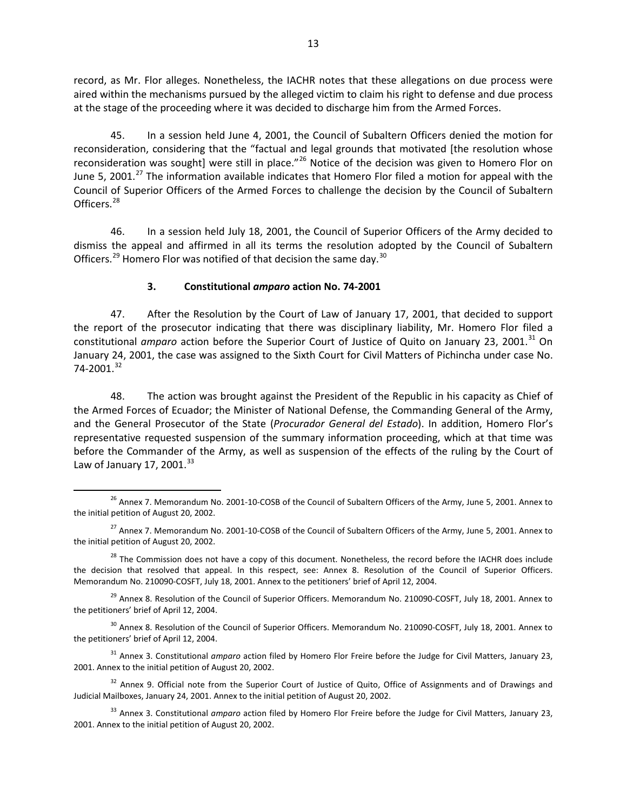record, as Mr. Flor alleges. Nonetheless, the IACHR notes that these allegations on due process were aired within the mechanisms pursued by the alleged victim to claim his right to defense and due process at the stage of the proceeding where it was decided to discharge him from the Armed Forces.

45. In a session held June 4, 2001, the Council of Subaltern Officers denied the motion for reconsideration, considering that the "factual and legal grounds that motivated [the resolution whose reconsideration was sought] were still in place."<sup>[26](#page-12-1)</sup> Notice of the decision was given to Homero Flor on June 5, 2001.<sup>[27](#page-12-2)</sup> The information available indicates that Homero Flor filed a motion for appeal with the Council of Superior Officers of the Armed Forces to challenge the decision by the Council of Subaltern Officers.<sup>[28](#page-12-3)</sup>

46. In a session held July 18, 2001, the Council of Superior Officers of the Army decided to dismiss the appeal and affirmed in all its terms the resolution adopted by the Council of Subaltern Officers.<sup>[29](#page-12-4)</sup> Homero Flor was notified of that decision the same day.<sup>[30](#page-12-5)</sup>

# **3. Constitutional** *amparo* **action No. 74-2001**

<span id="page-12-0"></span>47. After the Resolution by the Court of Law of January 17, 2001, that decided to support the report of the prosecutor indicating that there was disciplinary liability, Mr. Homero Flor filed a constitutional *amparo* action before the Superior Court of Justice of Quito on January 23, 2001. [31](#page-12-6) On January 24, 2001, the case was assigned to the Sixth Court for Civil Matters of Pichincha under case No. 74-2001. [32](#page-12-7)

48. The action was brought against the President of the Republic in his capacity as Chief of the Armed Forces of Ecuador; the Minister of National Defense, the Commanding General of the Army, and the General Prosecutor of the State (*Procurador General del Estado*). In addition, Homero Flor's representative requested suspension of the summary information proceeding, which at that time was before the Commander of the Army, as well as suspension of the effects of the ruling by the Court of Law of January 17, 2001.<sup>[33](#page-12-8)</sup>

<span id="page-12-4"></span><sup>29</sup> Annex 8. Resolution of the Council of Superior Officers. Memorandum No. 210090-COSFT, July 18, 2001. Annex to the petitioners' brief of April 12, 2004.

<span id="page-12-5"></span> $30$  Annex 8. Resolution of the Council of Superior Officers. Memorandum No. 210090-COSFT, July 18, 2001. Annex to the petitioners' brief of April 12, 2004.

<span id="page-12-6"></span><sup>31</sup> Annex 3. Constitutional *amparo* action filed by Homero Flor Freire before the Judge for Civil Matters, January 23, 2001. Annex to the initial petition of August 20, 2002.

<span id="page-12-7"></span><sup>32</sup> Annex 9. Official note from the Superior Court of Justice of Quito, Office of Assignments and of Drawings and Judicial Mailboxes, January 24, 2001. Annex to the initial petition of August 20, 2002.

<span id="page-12-8"></span><sup>33</sup> Annex 3. Constitutional *amparo* action filed by Homero Flor Freire before the Judge for Civil Matters, January 23, 2001. Annex to the initial petition of August 20, 2002.

<span id="page-12-1"></span><sup>&</sup>lt;sup>26</sup> Annex 7. Memorandum No. 2001-10-COSB of the Council of Subaltern Officers of the Army, June 5, 2001. Annex to the initial petition of August 20, 2002.

<span id="page-12-2"></span><sup>&</sup>lt;sup>27</sup> Annex 7. Memorandum No. 2001-10-COSB of the Council of Subaltern Officers of the Army, June 5, 2001. Annex to the initial petition of August 20, 2002.

<span id="page-12-3"></span><sup>&</sup>lt;sup>28</sup> The Commission does not have a copy of this document. Nonetheless, the record before the IACHR does include the decision that resolved that appeal. In this respect, see: Annex 8. Resolution of the Council of Superior Officers. Memorandum No. 210090-COSFT, July 18, 2001. Annex to the petitioners' brief of April 12, 2004.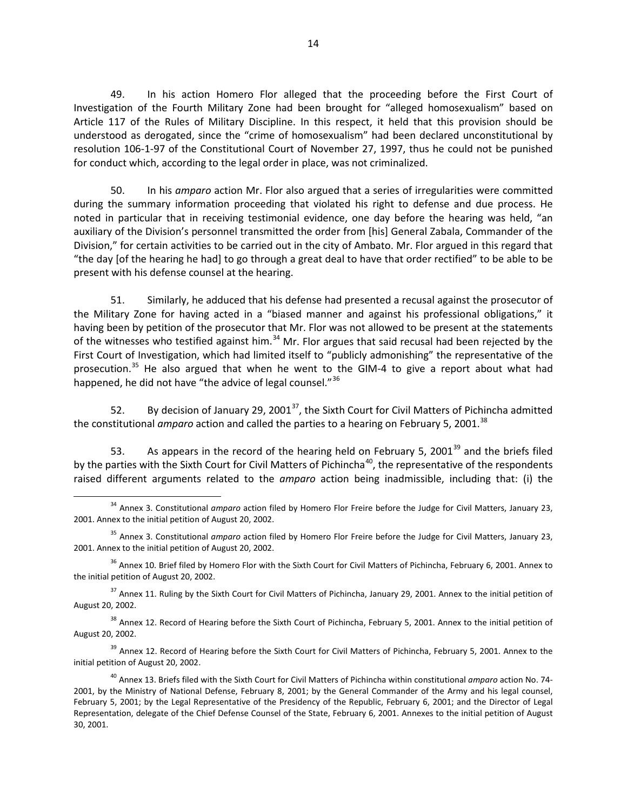49. In his action Homero Flor alleged that the proceeding before the First Court of Investigation of the Fourth Military Zone had been brought for "alleged homosexualism" based on Article 117 of the Rules of Military Discipline. In this respect, it held that this provision should be understood as derogated, since the "crime of homosexualism" had been declared unconstitutional by resolution 106-1-97 of the Constitutional Court of November 27, 1997, thus he could not be punished for conduct which, according to the legal order in place, was not criminalized.

50. In his *amparo* action Mr. Flor also argued that a series of irregularities were committed during the summary information proceeding that violated his right to defense and due process. He noted in particular that in receiving testimonial evidence, one day before the hearing was held, "an auxiliary of the Division's personnel transmitted the order from [his] General Zabala, Commander of the Division," for certain activities to be carried out in the city of Ambato. Mr. Flor argued in this regard that "the day [of the hearing he had] to go through a great deal to have that order rectified" to be able to be present with his defense counsel at the hearing.

51. Similarly, he adduced that his defense had presented a recusal against the prosecutor of the Military Zone for having acted in a "biased manner and against his professional obligations," it having been by petition of the prosecutor that Mr. Flor was not allowed to be present at the statements of the witnesses who testified against him.<sup>[34](#page-13-0)</sup> Mr. Flor argues that said recusal had been rejected by the First Court of Investigation, which had limited itself to "publicly admonishing" the representative of the prosecution.<sup>[35](#page-13-1)</sup> He also argued that when he went to the GIM-4 to give a report about what had happened, he did not have "the advice of legal counsel."<sup>[36](#page-13-2)</sup>

52. By decision of January 29, 2001<sup>[37](#page-13-3)</sup>, the Sixth Court for Civil Matters of Pichincha admitted the constitutional *amparo* action and called the parties to a hearing on February 5, 2001. [38](#page-13-4)

53. As appears in the record of the hearing held on February 5, 2001<sup>[39](#page-13-5)</sup> and the briefs filed by the parties with the Sixth Court for Civil Matters of Pichincha<sup>[40](#page-13-6)</sup>, the representative of the respondents raised different arguments related to the *amparo* action being inadmissible, including that: (i) the

<span id="page-13-2"></span> $36$  Annex 10. Brief filed by Homero Flor with the Sixth Court for Civil Matters of Pichincha, February 6, 2001. Annex to the initial petition of August 20, 2002.

<span id="page-13-3"></span> $37$  Annex 11. Ruling by the Sixth Court for Civil Matters of Pichincha, January 29, 2001. Annex to the initial petition of August 20, 2002.

<span id="page-13-4"></span> $38$  Annex 12. Record of Hearing before the Sixth Court of Pichincha, February 5, 2001. Annex to the initial petition of August 20, 2002.

<span id="page-13-5"></span><sup>39</sup> Annex 12. Record of Hearing before the Sixth Court for Civil Matters of Pichincha, February 5, 2001. Annex to the initial petition of August 20, 2002.

<span id="page-13-0"></span><sup>34</sup> Annex 3. Constitutional *amparo* action filed by Homero Flor Freire before the Judge for Civil Matters, January 23, 2001. Annex to the initial petition of August 20, 2002.

<span id="page-13-1"></span><sup>35</sup> Annex 3. Constitutional *amparo* action filed by Homero Flor Freire before the Judge for Civil Matters, January 23, 2001. Annex to the initial petition of August 20, 2002.

<span id="page-13-6"></span><sup>40</sup> Annex 13. Briefs filed with the Sixth Court for Civil Matters of Pichincha within constitutional *amparo* action No. 74- 2001, by the Ministry of National Defense, February 8, 2001; by the General Commander of the Army and his legal counsel, February 5, 2001; by the Legal Representative of the Presidency of the Republic, February 6, 2001; and the Director of Legal Representation, delegate of the Chief Defense Counsel of the State, February 6, 2001. Annexes to the initial petition of August 30, 2001.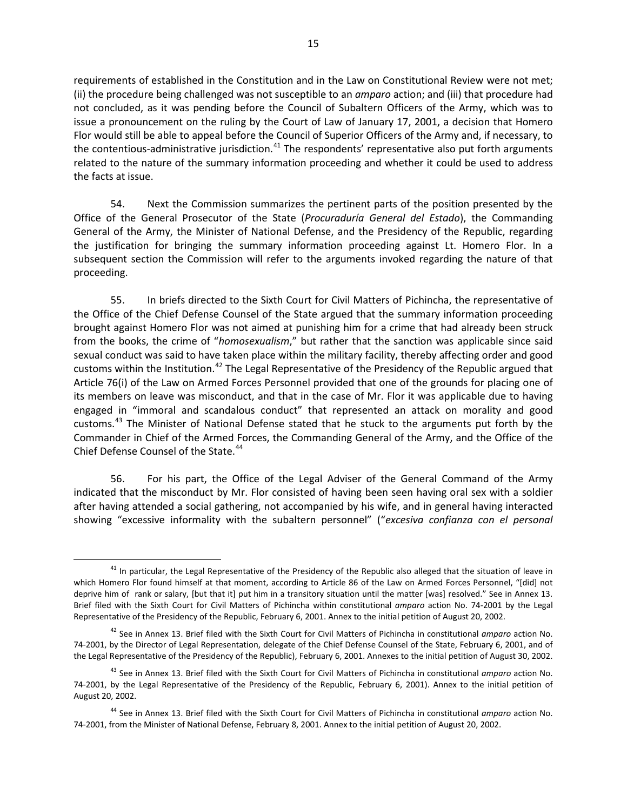requirements of established in the Constitution and in the Law on Constitutional Review were not met; (ii) the procedure being challenged was not susceptible to an *amparo* action; and (iii) that procedure had not concluded, as it was pending before the Council of Subaltern Officers of the Army, which was to issue a pronouncement on the ruling by the Court of Law of January 17, 2001, a decision that Homero Flor would still be able to appeal before the Council of Superior Officers of the Army and, if necessary, to the contentious-administrative jurisdiction.<sup>[41](#page-14-0)</sup> The respondents' representative also put forth arguments related to the nature of the summary information proceeding and whether it could be used to address the facts at issue.

54. Next the Commission summarizes the pertinent parts of the position presented by the Office of the General Prosecutor of the State (*Procuraduría General del Estado*), the Commanding General of the Army, the Minister of National Defense, and the Presidency of the Republic, regarding the justification for bringing the summary information proceeding against Lt. Homero Flor. In a subsequent section the Commission will refer to the arguments invoked regarding the nature of that proceeding.

55. In briefs directed to the Sixth Court for Civil Matters of Pichincha, the representative of the Office of the Chief Defense Counsel of the State argued that the summary information proceeding brought against Homero Flor was not aimed at punishing him for a crime that had already been struck from the books, the crime of "*homosexualism*," but rather that the sanction was applicable since said sexual conduct was said to have taken place within the military facility, thereby affecting order and good customs within the Institution.<sup>[42](#page-14-1)</sup> The Legal Representative of the Presidency of the Republic argued that Article 76(i) of the Law on Armed Forces Personnel provided that one of the grounds for placing one of its members on leave was misconduct, and that in the case of Mr. Flor it was applicable due to having engaged in "immoral and scandalous conduct" that represented an attack on morality and good customs.<sup>[43](#page-14-2)</sup> The Minister of National Defense stated that he stuck to the arguments put forth by the Commander in Chief of the Armed Forces, the Commanding General of the Army, and the Office of the Chief Defense Counsel of the State.<sup>[44](#page-14-3)</sup>

56. For his part, the Office of the Legal Adviser of the General Command of the Army indicated that the misconduct by Mr. Flor consisted of having been seen having oral sex with a soldier after having attended a social gathering, not accompanied by his wife, and in general having interacted showing "excessive informality with the subaltern personnel" ("*excesiva confianza con el personal* 

<span id="page-14-0"></span><sup>&</sup>lt;sup>41</sup> In particular, the Legal Representative of the Presidency of the Republic also alleged that the situation of leave in which Homero Flor found himself at that moment, according to Article 86 of the Law on Armed Forces Personnel, "[did] not deprive him of rank or salary, [but that it] put him in a transitory situation until the matter [was] resolved." See in Annex 13. Brief filed with the Sixth Court for Civil Matters of Pichincha within constitutional *amparo* action No. 74-2001 by the Legal Representative of the Presidency of the Republic, February 6, 2001. Annex to the initial petition of August 20, 2002.

<span id="page-14-1"></span><sup>42</sup> See in Annex 13. Brief filed with the Sixth Court for Civil Matters of Pichincha in constitutional *amparo* action No. 74-2001, by the Director of Legal Representation, delegate of the Chief Defense Counsel of the State, February 6, 2001, and of the Legal Representative of the Presidency of the Republic), February 6, 2001. Annexes to the initial petition of August 30, 2002.

<span id="page-14-2"></span><sup>43</sup> See in Annex 13. Brief filed with the Sixth Court for Civil Matters of Pichincha in constitutional *amparo* action No. 74-2001, by the Legal Representative of the Presidency of the Republic, February 6, 2001). Annex to the initial petition of August 20, 2002.

<span id="page-14-3"></span><sup>44</sup> See in Annex 13. Brief filed with the Sixth Court for Civil Matters of Pichincha in constitutional *amparo* action No. 74-2001, from the Minister of National Defense, February 8, 2001. Annex to the initial petition of August 20, 2002.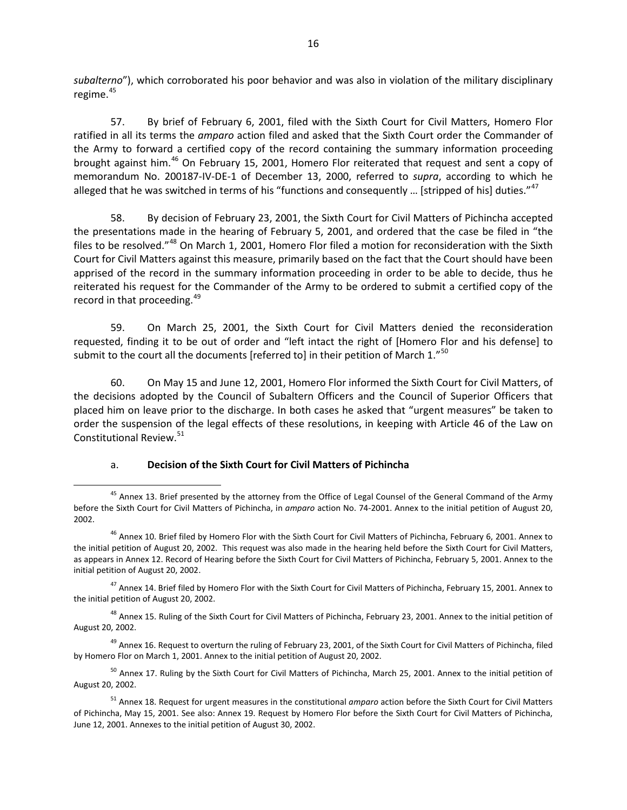*subalterno*"), which corroborated his poor behavior and was also in violation of the military disciplinary regime. $45$ 

57. By brief of February 6, 2001, filed with the Sixth Court for Civil Matters, Homero Flor ratified in all its terms the *amparo* action filed and asked that the Sixth Court order the Commander of the Army to forward a certified copy of the record containing the summary information proceeding brought against him.<sup>[46](#page-15-1)</sup> On February 15, 2001, Homero Flor reiterated that request and sent a copy of memorandum No. 200187-IV-DE-1 of December 13, 2000, referred to *supra*, according to which he alleged that he was switched in terms of his "functions and consequently ... [stripped of his] duties."<sup>[47](#page-15-2)</sup>

58. By decision of February 23, 2001, the Sixth Court for Civil Matters of Pichincha accepted the presentations made in the hearing of February 5, 2001, and ordered that the case be filed in "the files to be resolved."<sup>[48](#page-15-3)</sup> On March 1, 2001, Homero Flor filed a motion for reconsideration with the Sixth Court for Civil Matters against this measure, primarily based on the fact that the Court should have been apprised of the record in the summary information proceeding in order to be able to decide, thus he reiterated his request for the Commander of the Army to be ordered to submit a certified copy of the record in that proceeding.<sup>[49](#page-15-4)</sup>

59. On March 25, 2001, the Sixth Court for Civil Matters denied the reconsideration requested, finding it to be out of order and "left intact the right of [Homero Flor and his defense] to submit to the court all the documents [referred to] in their petition of March 1. $^{50}$  $^{50}$  $^{50}$ 

60. On May 15 and June 12, 2001, Homero Flor informed the Sixth Court for Civil Matters, of the decisions adopted by the Council of Subaltern Officers and the Council of Superior Officers that placed him on leave prior to the discharge. In both cases he asked that "urgent measures" be taken to order the suspension of the legal effects of these resolutions, in keeping with Article 46 of the Law on Constitutional Review.[51](#page-15-6)

### a. **Decision of the Sixth Court for Civil Matters of Pichincha**

<span id="page-15-0"></span><sup>&</sup>lt;sup>45</sup> Annex 13. Brief presented by the attorney from the Office of Legal Counsel of the General Command of the Army before the Sixth Court for Civil Matters of Pichincha, in *amparo* action No. 74-2001. Annex to the initial petition of August 20, 2002.

<span id="page-15-1"></span><sup>&</sup>lt;sup>46</sup> Annex 10. Brief filed by Homero Flor with the Sixth Court for Civil Matters of Pichincha, February 6, 2001. Annex to the initial petition of August 20, 2002. This request was also made in the hearing held before the Sixth Court for Civil Matters, as appears in Annex 12. Record of Hearing before the Sixth Court for Civil Matters of Pichincha, February 5, 2001. Annex to the initial petition of August 20, 2002.

<span id="page-15-2"></span> $^{47}$  Annex 14. Brief filed by Homero Flor with the Sixth Court for Civil Matters of Pichincha, February 15, 2001. Annex to the initial petition of August 20, 2002.

<span id="page-15-3"></span><sup>&</sup>lt;sup>48</sup> Annex 15. Ruling of the Sixth Court for Civil Matters of Pichincha, February 23, 2001. Annex to the initial petition of August 20, 2002.

<span id="page-15-4"></span> $49$  Annex 16. Request to overturn the ruling of February 23, 2001, of the Sixth Court for Civil Matters of Pichincha, filed by Homero Flor on March 1, 2001. Annex to the initial petition of August 20, 2002.

<span id="page-15-5"></span> $50$  Annex 17. Ruling by the Sixth Court for Civil Matters of Pichincha, March 25, 2001. Annex to the initial petition of August 20, 2002.

<span id="page-15-6"></span><sup>51</sup> Annex 18. Request for urgent measures in the constitutional *amparo* action before the Sixth Court for Civil Matters of Pichincha, May 15, 2001. See also: Annex 19. Request by Homero Flor before the Sixth Court for Civil Matters of Pichincha, June 12, 2001. Annexes to the initial petition of August 30, 2002.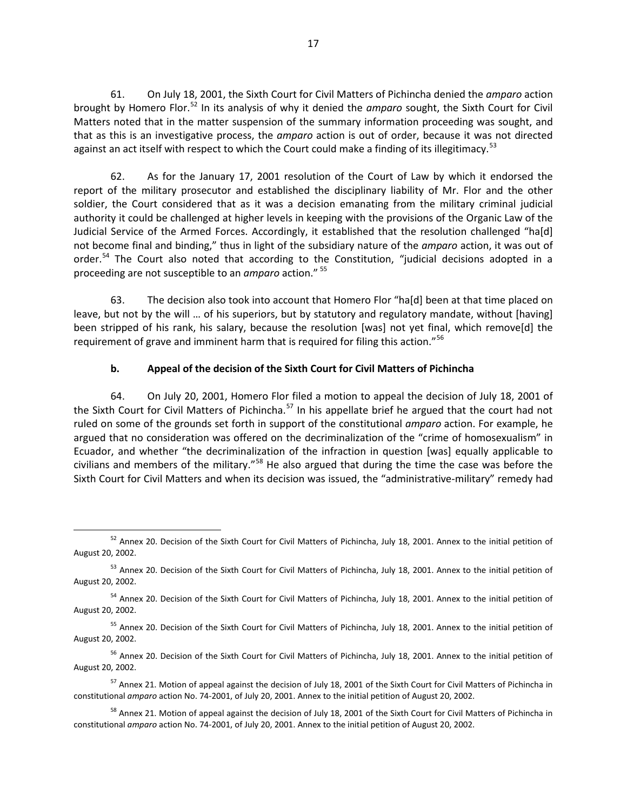61. On July 18, 2001, the Sixth Court for Civil Matters of Pichincha denied the *amparo* action brought by Homero Flor. [52](#page-16-0) In its analysis of why it denied the *amparo* sought, the Sixth Court for Civil Matters noted that in the matter suspension of the summary information proceeding was sought, and that as this is an investigative process, the *amparo* action is out of order, because it was not directed against an act itself with respect to which the Court could make a finding of its illegitimacy.<sup>[53](#page-16-1)</sup>

62. As for the January 17, 2001 resolution of the Court of Law by which it endorsed the report of the military prosecutor and established the disciplinary liability of Mr. Flor and the other soldier, the Court considered that as it was a decision emanating from the military criminal judicial authority it could be challenged at higher levels in keeping with the provisions of the Organic Law of the Judicial Service of the Armed Forces. Accordingly, it established that the resolution challenged "ha[d] not become final and binding," thus in light of the subsidiary nature of the *amparo* action, it was out of order.<sup>[54](#page-16-2)</sup> The Court also noted that according to the Constitution, "judicial decisions adopted in a proceeding are not susceptible to an *amparo* action." [55](#page-16-3)

63. The decision also took into account that Homero Flor "ha[d] been at that time placed on leave, but not by the will … of his superiors, but by statutory and regulatory mandate, without [having] been stripped of his rank, his salary, because the resolution [was] not yet final, which remove[d] the requirement of grave and imminent harm that is required for filing this action."<sup>[56](#page-16-4)</sup>

# **b. Appeal of the decision of the Sixth Court for Civil Matters of Pichincha**

64. On July 20, 2001, Homero Flor filed a motion to appeal the decision of July 18, 2001 of the Sixth Court for Civil Matters of Pichincha.<sup>[57](#page-16-5)</sup> In his appellate brief he argued that the court had not ruled on some of the grounds set forth in support of the constitutional *amparo* action. For example, he argued that no consideration was offered on the decriminalization of the "crime of homosexualism" in Ecuador, and whether "the decriminalization of the infraction in question [was] equally applicable to civilians and members of the military."[58](#page-16-6) He also argued that during the time the case was before the Sixth Court for Civil Matters and when its decision was issued, the "administrative-military" remedy had

<span id="page-16-0"></span> $52$  Annex 20. Decision of the Sixth Court for Civil Matters of Pichincha, July 18, 2001. Annex to the initial petition of August 20, 2002.

<span id="page-16-1"></span><sup>53</sup> Annex 20. Decision of the Sixth Court for Civil Matters of Pichincha, July 18, 2001. Annex to the initial petition of August 20, 2002.

<span id="page-16-2"></span><sup>&</sup>lt;sup>54</sup> Annex 20. Decision of the Sixth Court for Civil Matters of Pichincha, July 18, 2001. Annex to the initial petition of August 20, 2002.

<span id="page-16-3"></span><sup>&</sup>lt;sup>55</sup> Annex 20. Decision of the Sixth Court for Civil Matters of Pichincha, July 18, 2001. Annex to the initial petition of August 20, 2002.

<span id="page-16-4"></span><sup>&</sup>lt;sup>56</sup> Annex 20. Decision of the Sixth Court for Civil Matters of Pichincha, July 18, 2001. Annex to the initial petition of August 20, 2002.

<span id="page-16-5"></span><sup>&</sup>lt;sup>57</sup> Annex 21. Motion of appeal against the decision of July 18, 2001 of the Sixth Court for Civil Matters of Pichincha in constitutional *amparo* action No. 74-2001, of July 20, 2001. Annex to the initial petition of August 20, 2002.

<span id="page-16-6"></span><sup>&</sup>lt;sup>58</sup> Annex 21. Motion of appeal against the decision of July 18, 2001 of the Sixth Court for Civil Matters of Pichincha in constitutional *amparo* action No. 74-2001, of July 20, 2001. Annex to the initial petition of August 20, 2002.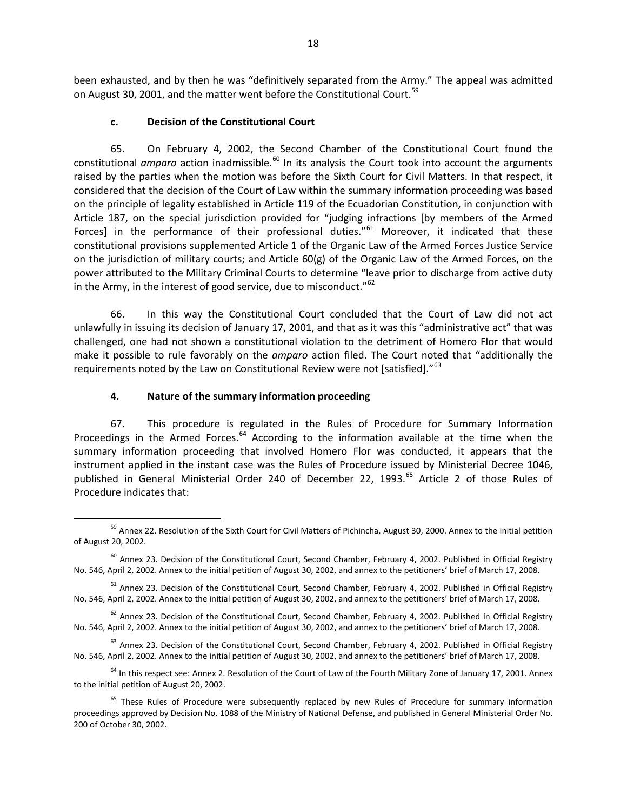been exhausted, and by then he was "definitively separated from the Army." The appeal was admitted on August 30, 2001, and the matter went before the Constitutional Court.<sup>[59](#page-17-1)</sup>

#### **c. Decision of the Constitutional Court**

65. On February 4, 2002, the Second Chamber of the Constitutional Court found the constitutional *amparo* action inadmissible.<sup>[60](#page-17-2)</sup> In its analysis the Court took into account the arguments raised by the parties when the motion was before the Sixth Court for Civil Matters. In that respect, it considered that the decision of the Court of Law within the summary information proceeding was based on the principle of legality established in Article 119 of the Ecuadorian Constitution, in conjunction with Article 187, on the special jurisdiction provided for "judging infractions [by members of the Armed Forces] in the performance of their professional duties."<sup>[61](#page-17-3)</sup> Moreover, it indicated that these constitutional provisions supplemented Article 1 of the Organic Law of the Armed Forces Justice Service on the jurisdiction of military courts; and Article 60(g) of the Organic Law of the Armed Forces, on the power attributed to the Military Criminal Courts to determine "leave prior to discharge from active duty in the Army, in the interest of good service, due to misconduct." $62$ 

66. In this way the Constitutional Court concluded that the Court of Law did not act unlawfully in issuing its decision of January 17, 2001, and that as it was this "administrative act" that was challenged, one had not shown a constitutional violation to the detriment of Homero Flor that would make it possible to rule favorably on the *amparo* action filed. The Court noted that "additionally the requirements noted by the Law on Constitutional Review were not [satisfied]."<sup>[63](#page-17-5)</sup>

### <span id="page-17-0"></span>**4. Nature of the summary information proceeding**

67. This procedure is regulated in the Rules of Procedure for Summary Information Proceedings in the Armed Forces. $64$  According to the information available at the time when the summary information proceeding that involved Homero Flor was conducted, it appears that the instrument applied in the instant case was the Rules of Procedure issued by Ministerial Decree 1046, published in General Ministerial Order 240 of December 22, 1993.<sup>[65](#page-17-7)</sup> Article 2 of those Rules of Procedure indicates that:

<span id="page-17-1"></span><sup>&</sup>lt;sup>59</sup> Annex 22. Resolution of the Sixth Court for Civil Matters of Pichincha, August 30, 2000. Annex to the initial petition of August 20, 2002.

<span id="page-17-2"></span> $60$  Annex 23. Decision of the Constitutional Court, Second Chamber, February 4, 2002. Published in Official Registry No. 546, April 2, 2002. Annex to the initial petition of August 30, 2002, and annex to the petitioners' brief of March 17, 2008.

<span id="page-17-3"></span> $61$  Annex 23. Decision of the Constitutional Court, Second Chamber, February 4, 2002. Published in Official Registry No. 546, April 2, 2002. Annex to the initial petition of August 30, 2002, and annex to the petitioners' brief of March 17, 2008.

<span id="page-17-4"></span> $62$  Annex 23. Decision of the Constitutional Court, Second Chamber, February 4, 2002. Published in Official Registry No. 546, April 2, 2002. Annex to the initial petition of August 30, 2002, and annex to the petitioners' brief of March 17, 2008.

<span id="page-17-5"></span> $63$  Annex 23. Decision of the Constitutional Court, Second Chamber, February 4, 2002. Published in Official Registry No. 546, April 2, 2002. Annex to the initial petition of August 30, 2002, and annex to the petitioners' brief of March 17, 2008.

<span id="page-17-6"></span> $64$  In this respect see: Annex 2. Resolution of the Court of Law of the Fourth Military Zone of January 17, 2001. Annex to the initial petition of August 20, 2002.

<span id="page-17-7"></span><sup>&</sup>lt;sup>65</sup> These Rules of Procedure were subsequently replaced by new Rules of Procedure for summary information proceedings approved by Decision No. 1088 of the Ministry of National Defense, and published in General Ministerial Order No. 200 of October 30, 2002.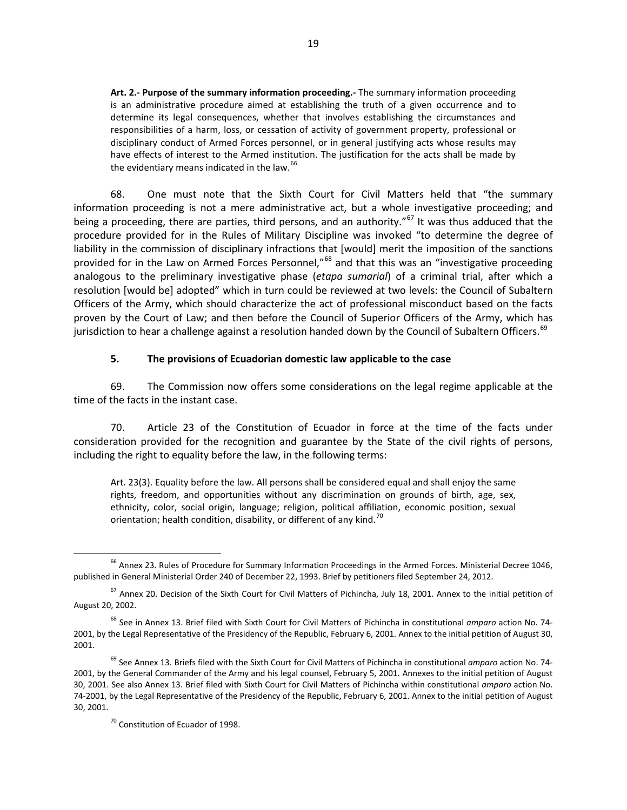**Art. 2.- Purpose of the summary information proceeding.-** The summary information proceeding is an administrative procedure aimed at establishing the truth of a given occurrence and to determine its legal consequences, whether that involves establishing the circumstances and responsibilities of a harm, loss, or cessation of activity of government property, professional or disciplinary conduct of Armed Forces personnel, or in general justifying acts whose results may have effects of interest to the Armed institution. The justification for the acts shall be made by the evidentiary means indicated in the law.<sup>[66](#page-18-1)</sup>

68. One must note that the Sixth Court for Civil Matters held that "the summary information proceeding is not a mere administrative act, but a whole investigative proceeding; and being a proceeding, there are parties, third persons, and an authority."<sup>[67](#page-18-2)</sup> It was thus adduced that the procedure provided for in the Rules of Military Discipline was invoked "to determine the degree of liability in the commission of disciplinary infractions that [would] merit the imposition of the sanctions provided for in the Law on Armed Forces Personnel,"<sup>[68](#page-18-3)</sup> and that this was an "investigative proceeding analogous to the preliminary investigative phase (*etapa sumarial*) of a criminal trial, after which a resolution [would be] adopted" which in turn could be reviewed at two levels: the Council of Subaltern Officers of the Army, which should characterize the act of professional misconduct based on the facts proven by the Court of Law; and then before the Council of Superior Officers of the Army, which has jurisdiction to hear a challenge against a resolution handed down by the Council of Subaltern Officers.<sup>[69](#page-18-4)</sup>

#### **5. The provisions of Ecuadorian domestic law applicable to the case**

<span id="page-18-0"></span>69. The Commission now offers some considerations on the legal regime applicable at the time of the facts in the instant case.

70. Article 23 of the Constitution of Ecuador in force at the time of the facts under consideration provided for the recognition and guarantee by the State of the civil rights of persons, including the right to equality before the law, in the following terms:

Art. 23(3). Equality before the law. All persons shall be considered equal and shall enjoy the same rights, freedom, and opportunities without any discrimination on grounds of birth, age, sex, ethnicity, color, social origin, language; religion, political affiliation, economic position, sexual orientation; health condition, disability, or different of any kind.<sup>[70](#page-18-5)</sup>

<span id="page-18-1"></span><sup>&</sup>lt;sup>66</sup> Annex 23. Rules of Procedure for Summary Information Proceedings in the Armed Forces. Ministerial Decree 1046, published in General Ministerial Order 240 of December 22, 1993. Brief by petitioners filed September 24, 2012.

<span id="page-18-2"></span> $67$  Annex 20. Decision of the Sixth Court for Civil Matters of Pichincha, July 18, 2001. Annex to the initial petition of August 20, 2002.

<span id="page-18-3"></span><sup>68</sup> See in Annex 13. Brief filed with Sixth Court for Civil Matters of Pichincha in constitutional *amparo* action No. 74- 2001, by the Legal Representative of the Presidency of the Republic, February 6, 2001. Annex to the initial petition of August 30, 2001.

<span id="page-18-5"></span><span id="page-18-4"></span><sup>69</sup> See Annex 13. Briefs filed with the Sixth Court for Civil Matters of Pichincha in constitutional *amparo* action No. 74- 2001, by the General Commander of the Army and his legal counsel, February 5, 2001. Annexes to the initial petition of August 30, 2001. See also Annex 13. Brief filed with Sixth Court for Civil Matters of Pichincha within constitutional *amparo* action No. 74-2001, by the Legal Representative of the Presidency of the Republic, February 6, 2001. Annex to the initial petition of August 30, 2001.

<sup>&</sup>lt;sup>70</sup> Constitution of Ecuador of 1998.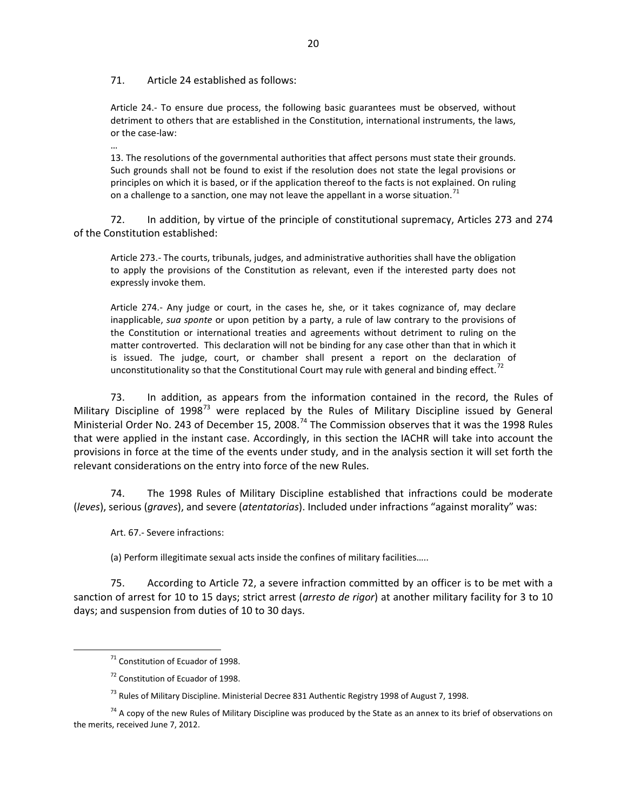71. Article 24 established as follows:

…

Article 24.- To ensure due process, the following basic guarantees must be observed, without detriment to others that are established in the Constitution, international instruments, the laws, or the case-law:

13. The resolutions of the governmental authorities that affect persons must state their grounds. Such grounds shall not be found to exist if the resolution does not state the legal provisions or principles on which it is based, or if the application thereof to the facts is not explained. On ruling on a challenge to a sanction, one may not leave the appellant in a worse situation.<sup>[71](#page-19-0)</sup>

72. In addition, by virtue of the principle of constitutional supremacy, Articles 273 and 274 of the Constitution established:

Article 273.- The courts, tribunals, judges, and administrative authorities shall have the obligation to apply the provisions of the Constitution as relevant, even if the interested party does not expressly invoke them.

Article 274.- Any judge or court, in the cases he, she, or it takes cognizance of, may declare inapplicable, *sua sponte* or upon petition by a party, a rule of law contrary to the provisions of the Constitution or international treaties and agreements without detriment to ruling on the matter controverted. This declaration will not be binding for any case other than that in which it is issued. The judge, court, or chamber shall present a report on the declaration of unconstitutionality so that the Constitutional Court may rule with general and binding effect.<sup>[72](#page-19-1)</sup>

73. In addition, as appears from the information contained in the record, the Rules of Military Discipline of 1998<sup>[73](#page-19-2)</sup> were replaced by the Rules of Military Discipline issued by General Ministerial Order No. 243 of December 15, 2008.<sup>[74](#page-19-3)</sup> The Commission observes that it was the 1998 Rules that were applied in the instant case. Accordingly, in this section the IACHR will take into account the provisions in force at the time of the events under study, and in the analysis section it will set forth the relevant considerations on the entry into force of the new Rules.

74. The 1998 Rules of Military Discipline established that infractions could be moderate (*leves*), serious (*graves*), and severe (*atentatorias*). Included under infractions "against morality" was:

Art. 67.- Severe infractions:

(a) Perform illegitimate sexual acts inside the confines of military facilities…..

75. According to Article 72, a severe infraction committed by an officer is to be met with a sanction of arrest for 10 to 15 days; strict arrest (*arresto de rigor*) at another military facility for 3 to 10 days; and suspension from duties of 10 to 30 days.

 $71$  Constitution of Ecuador of 1998.

 $72$  Constitution of Ecuador of 1998.

<sup>&</sup>lt;sup>73</sup> Rules of Military Discipline. Ministerial Decree 831 Authentic Registry 1998 of August 7, 1998.

<span id="page-19-3"></span><span id="page-19-2"></span><span id="page-19-1"></span><span id="page-19-0"></span> $74$  A copy of the new Rules of Military Discipline was produced by the State as an annex to its brief of observations on the merits, received June 7, 2012.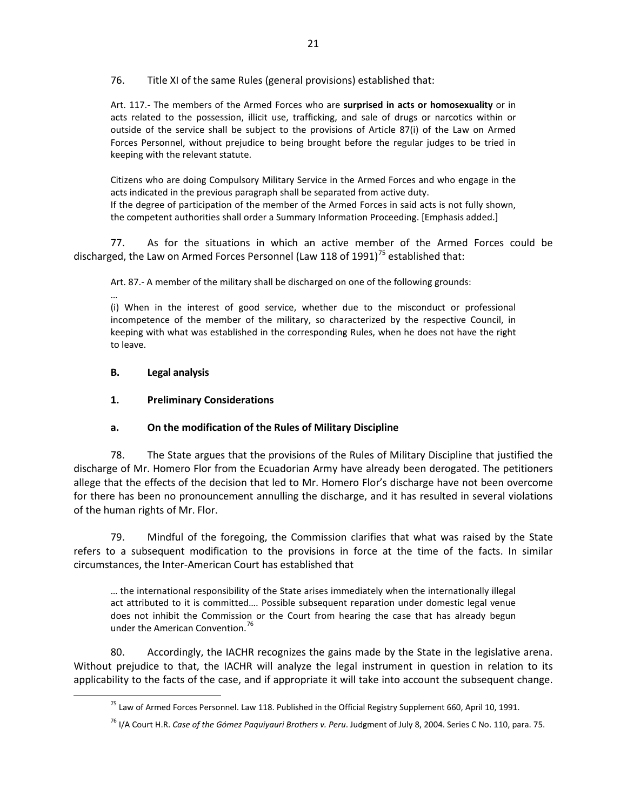76. Title XI of the same Rules (general provisions) established that:

Art. 117.- The members of the Armed Forces who are **surprised in acts or homosexuality** or in acts related to the possession, illicit use, trafficking, and sale of drugs or narcotics within or outside of the service shall be subject to the provisions of Article 87(i) of the Law on Armed Forces Personnel, without prejudice to being brought before the regular judges to be tried in keeping with the relevant statute.

Citizens who are doing Compulsory Military Service in the Armed Forces and who engage in the acts indicated in the previous paragraph shall be separated from active duty. If the degree of participation of the member of the Armed Forces in said acts is not fully shown, the competent authorities shall order a Summary Information Proceeding. [Emphasis added.]

77. As for the situations in which an active member of the Armed Forces could be discharged, the Law on Armed Forces Personnel (Law 118 of 1991)<sup>[75](#page-20-2)</sup> established that:

Art. 87.- A member of the military shall be discharged on one of the following grounds:

…

(i) When in the interest of good service, whether due to the misconduct or professional incompetence of the member of the military, so characterized by the respective Council, in keeping with what was established in the corresponding Rules, when he does not have the right to leave.

# <span id="page-20-0"></span>**B. Legal analysis**

# <span id="page-20-1"></span>**1. Preliminary Considerations**

# **a. On the modification of the Rules of Military Discipline**

78. The State argues that the provisions of the Rules of Military Discipline that justified the discharge of Mr. Homero Flor from the Ecuadorian Army have already been derogated. The petitioners allege that the effects of the decision that led to Mr. Homero Flor's discharge have not been overcome for there has been no pronouncement annulling the discharge, and it has resulted in several violations of the human rights of Mr. Flor.

79. Mindful of the foregoing, the Commission clarifies that what was raised by the State refers to a subsequent modification to the provisions in force at the time of the facts. In similar circumstances, the Inter-American Court has established that

… the international responsibility of the State arises immediately when the internationally illegal act attributed to it is committed…. Possible subsequent reparation under domestic legal venue does not inhibit the Commission or the Court from hearing the case that has already begun under the American Convention.<sup>[76](#page-20-3)</sup>

<span id="page-20-3"></span><span id="page-20-2"></span>80. Accordingly, the IACHR recognizes the gains made by the State in the legislative arena. Without prejudice to that, the IACHR will analyze the legal instrument in question in relation to its applicability to the facts of the case, and if appropriate it will take into account the subsequent change.

<sup>&</sup>lt;sup>75</sup> Law of Armed Forces Personnel. Law 118. Published in the Official Registry Supplement 660, April 10, 1991.

<sup>76</sup> I/A Court H.R. *Case of the Gómez Paquiyauri Brothers v. Peru*. Judgment of July 8, 2004. Series C No. 110, para. 75.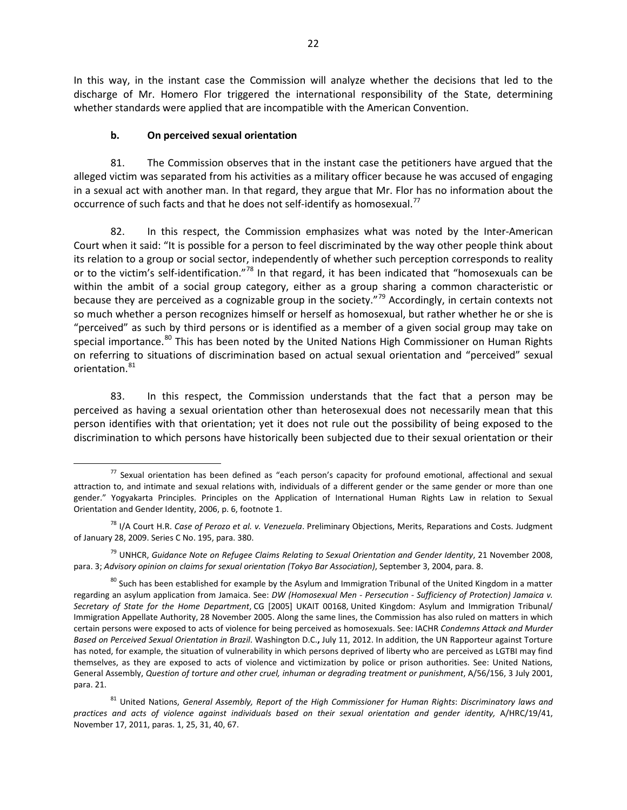In this way, in the instant case the Commission will analyze whether the decisions that led to the discharge of Mr. Homero Flor triggered the international responsibility of the State, determining whether standards were applied that are incompatible with the American Convention.

### **b. On perceived sexual orientation**

81. The Commission observes that in the instant case the petitioners have argued that the alleged victim was separated from his activities as a military officer because he was accused of engaging in a sexual act with another man. In that regard, they argue that Mr. Flor has no information about the occurrence of such facts and that he does not self-identify as homosexual.<sup>[77](#page-21-0)</sup>

82. In this respect, the Commission emphasizes what was noted by the Inter-American Court when it said: "It is possible for a person to feel discriminated by the way other people think about its relation to a group or social sector, independently of whether such perception corresponds to reality or to the victim's self-identification."[78](#page-21-1) In that regard, it has been indicated that "homosexuals can be within the ambit of a social group category, either as a group sharing a common characteristic or because they are perceived as a cognizable group in the society."<sup>[79](#page-21-2)</sup> Accordingly, in certain contexts not so much whether a person recognizes himself or herself as homosexual, but rather whether he or she is "perceived" as such by third persons or is identified as a member of a given social group may take on special importance.<sup>[80](#page-21-3)</sup> This has been noted by the United Nations High Commissioner on Human Rights on referring to situations of discrimination based on actual sexual orientation and "perceived" sexual orientation.<sup>[81](#page-21-4)</sup>

83. In this respect, the Commission understands that the fact that a person may be perceived as having a sexual orientation other than heterosexual does not necessarily mean that this person identifies with that orientation; yet it does not rule out the possibility of being exposed to the discrimination to which persons have historically been subjected due to their sexual orientation or their

<span id="page-21-0"></span> $77$  Sexual orientation has been defined as "each person's capacity for profound emotional, affectional and sexual attraction to, and intimate and sexual relations with, individuals of a different gender or the same gender or more than one gender." Yogyakarta Principles. Principles on the Application of International Human Rights Law in relation to Sexual Orientation and Gender Identity, 2006, p. 6, footnote 1.

<span id="page-21-1"></span><sup>78</sup> I/A Court H.R. *Case of Perozo et al. v. Venezuela*. Preliminary Objections, Merits, Reparations and Costs. Judgment of January 28, 2009. Series C No. 195, para. 380.

<span id="page-21-2"></span><sup>79</sup> UNHCR, *Guidance Note on Refugee Claims Relating to Sexual Orientation and Gender Identity*, 21 November 2008, para. 3; *Advisory opinion on claims for sexual orientation (Tokyo Bar Association)*, September 3, 2004, para. 8.

<span id="page-21-3"></span> $80$  Such has been established for example by the Asylum and Immigration Tribunal of the United Kingdom in a matter regarding an asylum application from Jamaica. See: *DW (Homosexual Men - Persecution - Sufficiency of Protection) Jamaica v. Secretary of State for the Home Department*, CG [2005] UKAIT 00168, United Kingdom: Asylum and Immigration Tribunal/ Immigration Appellate Authority, 28 November 2005. Along the same lines, the Commission has also ruled on matters in which certain persons were exposed to acts of violence for being perceived as homosexuals. See: IACHR *Condemns Attack and Murder Based on Perceived Sexual Orientation in Brazil*. Washington D.C.**,** July 11, 2012. In addition, the UN Rapporteur against Torture has noted, for example, the situation of vulnerability in which persons deprived of liberty who are perceived as LGTBI may find themselves, as they are exposed to acts of violence and victimization by police or prison authorities. See: United Nations, General Assembly, *Question of torture and other cruel, inhuman or degrading treatment or punishment*, A/56/156, 3 July 2001, para. 21.

<span id="page-21-4"></span><sup>81</sup> United Nations, *General Assembly, Report of the High Commissioner for Human Rights*: *Discriminatory laws and practices and acts of violence against individuals based on their sexual orientation and gender identity,* A/HRC/19/41, November 17, 2011, paras. 1, 25, 31, 40, 67.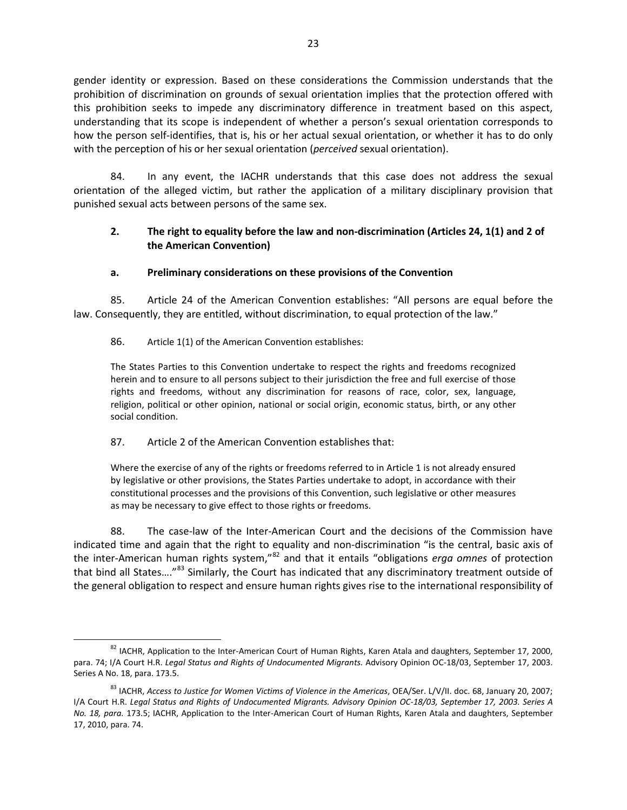gender identity or expression. Based on these considerations the Commission understands that the prohibition of discrimination on grounds of sexual orientation implies that the protection offered with this prohibition seeks to impede any discriminatory difference in treatment based on this aspect, understanding that its scope is independent of whether a person's sexual orientation corresponds to how the person self-identifies, that is, his or her actual sexual orientation, or whether it has to do only with the perception of his or her sexual orientation (*perceived* sexual orientation).

84. In any event, the IACHR understands that this case does not address the sexual orientation of the alleged victim, but rather the application of a military disciplinary provision that punished sexual acts between persons of the same sex.

# <span id="page-22-0"></span>**2. The right to equality before the law and non-discrimination (Articles 24, 1(1) and 2 of the American Convention)**

# **a. Preliminary considerations on these provisions of the Convention**

85. Article 24 of the American Convention establishes: "All persons are equal before the law. Consequently, they are entitled, without discrimination, to equal protection of the law."

### 86. Article 1(1) of the American Convention establishes:

The States Parties to this Convention undertake to respect the rights and freedoms recognized herein and to ensure to all persons subject to their jurisdiction the free and full exercise of those rights and freedoms, without any discrimination for reasons of race, color, sex, language, religion, political or other opinion, national or social origin, economic status, birth, or any other social condition.

### 87. Article 2 of the American Convention establishes that:

Where the exercise of any of the rights or freedoms referred to in Article 1 is not already ensured by legislative or other provisions, the States Parties undertake to adopt, in accordance with their constitutional processes and the provisions of this Convention, such legislative or other measures as may be necessary to give effect to those rights or freedoms.

88. The case-law of the Inter-American Court and the decisions of the Commission have indicated time and again that the right to equality and non-discrimination "is the central, basic axis of the inter-American human rights system,"[82](#page-22-1) and that it entails "obligations *erga omnes* of protection that bind all States....<sup>"[83](#page-22-2)</sup> Similarly, the Court has indicated that any discriminatory treatment outside of the general obligation to respect and ensure human rights gives rise to the international responsibility of

<span id="page-22-1"></span><sup>&</sup>lt;sup>82</sup> IACHR, Application to the Inter-American Court of Human Rights, Karen Atala and daughters, September 17, 2000, para. 74; I/A Court H.R. *Legal Status and Rights of Undocumented Migrants.* Advisory Opinion OC-18/03, September 17, 2003. Series A No. 18, para. 173.5.

<span id="page-22-2"></span><sup>83</sup> IACHR, *Access to Justice for Women Victims of Violence in the Americas*, OEA/Ser. L/V/II. doc. 68, January 20, 2007; I/A Court H.R. *Legal Status and Rights of Undocumented Migrants. Advisory Opinion OC-18/03, September 17, 2003. Series A No. 18, para.* 173.5; IACHR, Application to the Inter-American Court of Human Rights, Karen Atala and daughters, September 17, 2010, para. 74.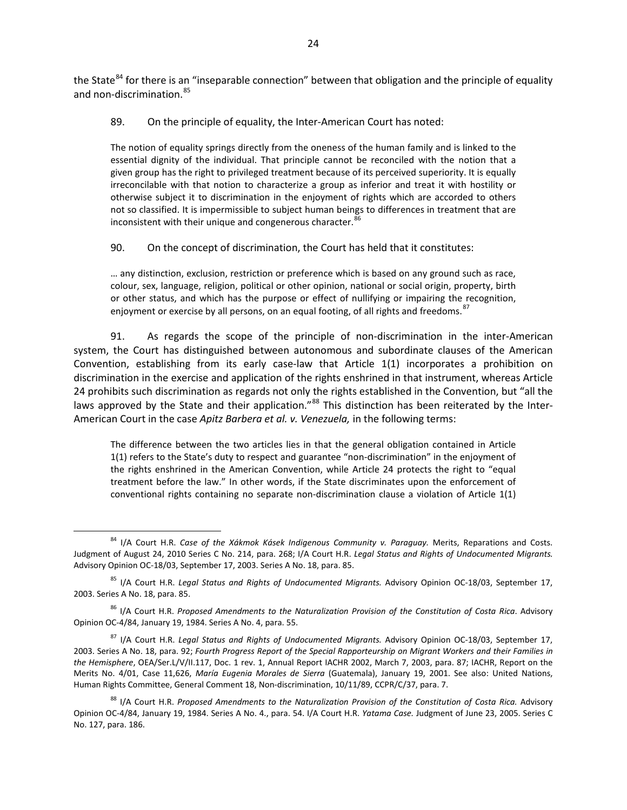the State<sup>[84](#page-23-0)</sup> for there is an "inseparable connection" between that obligation and the principle of equality and non-discrimination.<sup>[85](#page-23-1)</sup>

89. On the principle of equality, the Inter-American Court has noted:

The notion of equality springs directly from the oneness of the human family and is linked to the essential dignity of the individual. That principle cannot be reconciled with the notion that a given group has the right to privileged treatment because of its perceived superiority. It is equally irreconcilable with that notion to characterize a group as inferior and treat it with hostility or otherwise subject it to discrimination in the enjoyment of rights which are accorded to others not so classified. It is impermissible to subject human beings to differences in treatment that are inconsistent with their unique and congenerous character. <sup>[86](#page-23-2)</sup>

90. On the concept of discrimination, the Court has held that it constitutes:

… any distinction, exclusion, restriction or preference which is based on any ground such as race, colour, sex, language, religion, political or other opinion, national or social origin, property, birth or other status, and which has the purpose or effect of nullifying or impairing the recognition, enjoyment or exercise by all persons, on an equal footing, of all rights and freedoms.<sup>[87](#page-23-3)</sup>

91. As regards the scope of the principle of non-discrimination in the inter-American system, the Court has distinguished between autonomous and subordinate clauses of the American Convention, establishing from its early case-law that Article 1(1) incorporates a prohibition on discrimination in the exercise and application of the rights enshrined in that instrument, whereas Article 24 prohibits such discrimination as regards not only the rights established in the Convention, but "all the laws approved by the State and their application.<sup>"[88](#page-23-4)</sup> This distinction has been reiterated by the Inter-American Court in the case *Apitz Barbera et al. v. Venezuela,* in the following terms:

The difference between the two articles lies in that the general obligation contained in Article 1(1) refers to the State's duty to respect and guarantee "non-discrimination" in the enjoyment of the rights enshrined in the American Convention, while Article 24 protects the right to "equal treatment before the law." In other words, if the State discriminates upon the enforcement of conventional rights containing no separate non-discrimination clause a violation of Article 1(1)

<span id="page-23-0"></span><sup>84</sup> I/A Court H.R. *Case of the Xákmok Kásek Indigenous Community v. Paraguay.* Merits, Reparations and Costs. Judgment of August 24, 2010 Series C No. 214, para. 268; I/A Court H.R. *Legal Status and Rights of Undocumented Migrants.* Advisory Opinion OC-18/03, September 17, 2003. Series A No. 18, para. 85.

<span id="page-23-1"></span><sup>85</sup> I/A Court H.R. *Legal Status and Rights of Undocumented Migrants.* Advisory Opinion OC-18/03, September 17, 2003. Series A No. 18, para. 85.

<span id="page-23-2"></span><sup>86</sup> I/A Court H.R. *Proposed Amendments to the Naturalization Provision of the Constitution of Costa Rica*. Advisory Opinion OC-4/84, January 19, 1984. Series A No. 4, para. 55.

<span id="page-23-3"></span><sup>87</sup> I/A Court H.R. *Legal Status and Rights of Undocumented Migrants.* Advisory Opinion OC-18/03, September 17, 2003. Series A No. 18, para. 92; *Fourth Progress Report of the Special Rapporteurship on Migrant Workers and their Families in the Hemisphere*, OEA/Ser.L/V/II.117, Doc. 1 rev. 1, Annual Report IACHR 2002, March 7, 2003, para. 87; IACHR, Report on the Merits No. 4/01, Case 11,626, *María Eugenia Morales de Sierra* (Guatemala), January 19, 2001. See also: United Nations, Human Rights Committee, General Comment 18, Non-discrimination, 10/11/89, CCPR/C/37, para. 7.

<span id="page-23-4"></span><sup>88</sup> I/A Court H.R. Proposed Amendments to the Naturalization Provision of the Constitution of Costa Rica. Advisory Opinion OC-4/84, January 19, 1984. Series A No. 4., para. 54. I/A Court H.R. *Yatama Case.* Judgment of June 23, 2005. Series C No. 127, para. 186.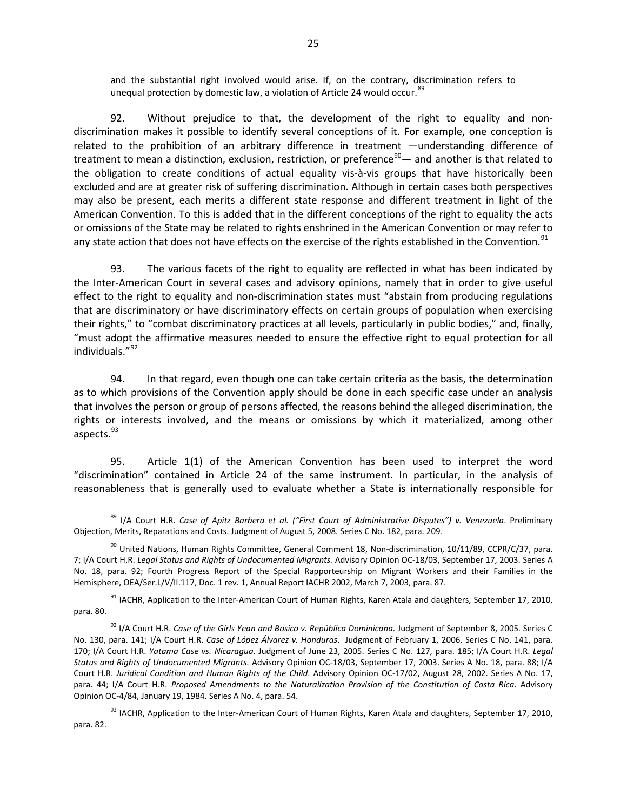and the substantial right involved would arise. If, on the contrary, discrimination refers to unequal protection by domestic law, a violation of Article 24 would occur.<sup>[89](#page-24-0)</sup>

92. Without prejudice to that, the development of the right to equality and nondiscrimination makes it possible to identify several conceptions of it. For example, one conception is related to the prohibition of an arbitrary difference in treatment —understanding difference of treatment to mean a distinction, exclusion, restriction, or preference $90 90-$  and another is that related to the obligation to create conditions of actual equality vis-à-vis groups that have historically been excluded and are at greater risk of suffering discrimination. Although in certain cases both perspectives may also be present, each merits a different state response and different treatment in light of the American Convention. To this is added that in the different conceptions of the right to equality the acts or omissions of the State may be related to rights enshrined in the American Convention or may refer to any state action that does not have effects on the exercise of the rights established in the Convention.<sup>[91](#page-24-2)</sup>

93. The various facets of the right to equality are reflected in what has been indicated by the Inter-American Court in several cases and advisory opinions, namely that in order to give useful effect to the right to equality and non-discrimination states must "abstain from producing regulations that are discriminatory or have discriminatory effects on certain groups of population when exercising their rights," to "combat discriminatory practices at all levels, particularly in public bodies," and, finally, "must adopt the affirmative measures needed to ensure the effective right to equal protection for all individuals."[92](#page-24-3) 

94. In that regard, even though one can take certain criteria as the basis, the determination as to which provisions of the Convention apply should be done in each specific case under an analysis that involves the person or group of persons affected, the reasons behind the alleged discrimination, the rights or interests involved, and the means or omissions by which it materialized, among other aspects.<sup>[93](#page-24-4)</sup>

95. Article 1(1) of the American Convention has been used to interpret the word "discrimination" contained in Article 24 of the same instrument. In particular, in the analysis of reasonableness that is generally used to evaluate whether a State is internationally responsible for

<span id="page-24-0"></span><sup>89</sup> I/A Court H.R. *Case of Apitz Barbera et al. ("First Court of Administrative Disputes") v. Venezuela*. Preliminary Objection, Merits, Reparations and Costs. Judgment of August 5, 2008. Series C No. 182, para. 209.

<span id="page-24-1"></span> $90$  United Nations, Human Rights Committee, General Comment 18, Non-discrimination, 10/11/89, CCPR/C/37, para. 7; I/A Court H.R. *Legal Status and Rights of Undocumented Migrants.* Advisory Opinion OC-18/03, September 17, 2003. Series A No. 18, para. 92; Fourth Progress Report of the Special Rapporteurship on Migrant Workers and their Families in the Hemisphere, OEA/Ser.L/V/II.117, Doc. 1 rev. 1, Annual Report IACHR 2002, March 7, 2003, para. 87.

<span id="page-24-2"></span><sup>&</sup>lt;sup>91</sup> IACHR, Application to the Inter-American Court of Human Rights, Karen Atala and daughters, September 17, 2010, para. 80.

<span id="page-24-3"></span><sup>92</sup> I/A Court H.R. *Case of the Girls Yean and Bosico v. República Dominicana.* Judgment of September 8, 2005*.* Series C No. 130, para. 141; I/A Court H.R. *Case of López Álvarez v. Honduras*. Judgment of February 1, 2006. Series C No. 141, para. 170; I/A Court H.R. *Yatama Case vs. Nicaragua.* Judgment of June 23, 2005. Series C No. 127, para. 185; I/A Court H.R. *Legal Status and Rights of Undocumented Migrants.* Advisory Opinion OC-18/03, September 17, 2003. Series A No. 18, para. 88; I/A Court H.R. *Juridical Condition and Human Rights of the Child*. Advisory Opinion OC-17/02, August 28, 2002. Series A No. 17, para. 44; I/A Court H.R. *Proposed Amendments to the Naturalization Provision of the Constitution of Costa Rica*. Advisory Opinion OC-4/84, January 19, 1984. Series A No. 4, para. 54.

<span id="page-24-4"></span><sup>93</sup> IACHR, Application to the Inter-American Court of Human Rights, Karen Atala and daughters, September 17, 2010, para. 82.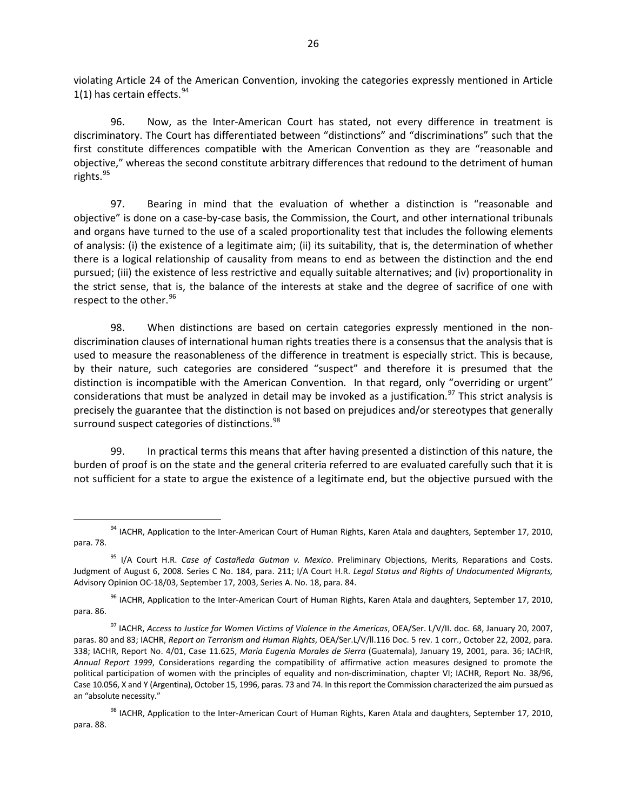violating Article 24 of the American Convention, invoking the categories expressly mentioned in Article 1(1) has certain effects.  $94$ 

96. Now, as the Inter-American Court has stated, not every difference in treatment is discriminatory. The Court has differentiated between "distinctions" and "discriminations" such that the first constitute differences compatible with the American Convention as they are "reasonable and objective," whereas the second constitute arbitrary differences that redound to the detriment of human rights.<sup>[95](#page-25-1)</sup>

97. Bearing in mind that the evaluation of whether a distinction is "reasonable and objective" is done on a case-by-case basis, the Commission, the Court, and other international tribunals and organs have turned to the use of a scaled proportionality test that includes the following elements of analysis: (i) the existence of a legitimate aim; (ii) its suitability, that is, the determination of whether there is a logical relationship of causality from means to end as between the distinction and the end pursued; (iii) the existence of less restrictive and equally suitable alternatives; and (iv) proportionality in the strict sense, that is, the balance of the interests at stake and the degree of sacrifice of one with respect to the other.<sup>[96](#page-25-2)</sup>

98. When distinctions are based on certain categories expressly mentioned in the nondiscrimination clauses of international human rights treaties there is a consensus that the analysis that is used to measure the reasonableness of the difference in treatment is especially strict. This is because, by their nature, such categories are considered "suspect" and therefore it is presumed that the distinction is incompatible with the American Convention. In that regard, only "overriding or urgent" considerations that must be analyzed in detail may be invoked as a justification.<sup>[97](#page-25-3)</sup> This strict analysis is precisely the guarantee that the distinction is not based on prejudices and/or stereotypes that generally surround suspect categories of distinctions.<sup>98</sup>

99. In practical terms this means that after having presented a distinction of this nature, the burden of proof is on the state and the general criteria referred to are evaluated carefully such that it is not sufficient for a state to argue the existence of a legitimate end, but the objective pursued with the

<span id="page-25-2"></span><sup>96</sup> IACHR, Application to the Inter-American Court of Human Rights, Karen Atala and daughters, September 17, 2010, para. 86.

<span id="page-25-0"></span> $94$  IACHR, Application to the Inter-American Court of Human Rights, Karen Atala and daughters, September 17, 2010, para. 78.

<span id="page-25-1"></span><sup>95</sup> I/A Court H.R. *Case of Castañeda Gutman v. Mexico*. Preliminary Objections, Merits, Reparations and Costs. Judgment of August 6, 2008. Series C No. 184, para. 211; I/A Court H.R. *Legal Status and Rights of Undocumented Migrants,*  Advisory Opinion OC-18/03, September 17, 2003, Series A. No. 18, para. 84.

<span id="page-25-3"></span><sup>97</sup> IACHR, *Access to Justice for Women Victims of Violence in the Americas*, OEA/Ser. L/V/II. doc. 68, January 20, 2007, paras. 80 and 83; IACHR, *Report on Terrorism and Human Rights*, OEA/Ser.L/V/ll.116 Doc. 5 rev. 1 corr., October 22, 2002, para. 338; IACHR, Report No. 4/01, Case 11.625, *María Eugenia Morales de Sierra* (Guatemala), January 19, 2001, para. 36; IACHR, *Annual Report 1999*, Considerations regarding the compatibility of affirmative action measures designed to promote the political participation of women with the principles of equality and non-discrimination, chapter VI; IACHR, Report No. 38/96, Case 10.056, X and Y (Argentina), October 15, 1996, paras. 73 and 74. In this report the Commission characterized the aim pursued as an "absolute necessity."

<span id="page-25-4"></span> $98$  IACHR, Application to the Inter-American Court of Human Rights, Karen Atala and daughters, September 17, 2010, para. 88.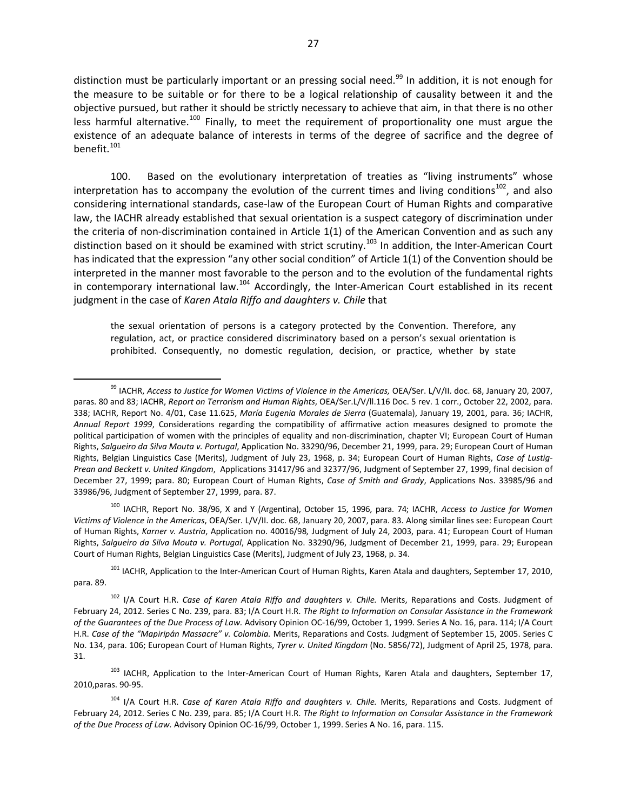distinction must be particularly important or an pressing social need.<sup>[99](#page-26-0)</sup> In addition, it is not enough for the measure to be suitable or for there to be a logical relationship of causality between it and the objective pursued, but rather it should be strictly necessary to achieve that aim, in that there is no other less harmful alternative.<sup>[100](#page-26-1)</sup> Finally, to meet the requirement of proportionality one must argue the existence of an adequate balance of interests in terms of the degree of sacrifice and the degree of benefit. $101$ 

100. Based on the evolutionary interpretation of treaties as "living instruments" whose interpretation has to accompany the evolution of the current times and living conditions<sup>102</sup>, and also considering international standards, case-law of the European Court of Human Rights and comparative law, the IACHR already established that sexual orientation is a suspect category of discrimination under the criteria of non-discrimination contained in Article 1(1) of the American Convention and as such any distinction based on it should be examined with strict scrutiny.<sup>[103](#page-26-4)</sup> In addition, the Inter-American Court has indicated that the expression "any other social condition" of Article 1(1) of the Convention should be interpreted in the manner most favorable to the person and to the evolution of the fundamental rights in contemporary international law.<sup>[104](#page-26-5)</sup> Accordingly, the Inter-American Court established in its recent judgment in the case of *Karen Atala Riffo and daughters v. Chile* that

the sexual orientation of persons is a category protected by the Convention. Therefore, any regulation, act, or practice considered discriminatory based on a person's sexual orientation is prohibited. Consequently, no domestic regulation, decision, or practice, whether by state

<span id="page-26-1"></span><sup>100</sup> IACHR, Report No. 38/96, X and Y (Argentina), October 15, 1996, para. 74; IACHR, *Access to Justice for Women Victims of Violence in the Americas*, OEA/Ser. L/V/II. doc. 68, January 20, 2007, para. 83. Along similar lines see: European Court of Human Rights, *Karner v. Austria*, Application no. 40016/98*,* Judgment of July 24, 2003, para. 41; European Court of Human Rights, *Salgueiro da Silva Mouta v. Portugal*, Application No. 33290/96, Judgment of December 21, 1999, para. 29; European Court of Human Rights, Belgian Linguistics Case (Merits), Judgment of July 23, 1968, p. 34.

<span id="page-26-2"></span><sup>101</sup> IACHR, Application to the Inter-American Court of Human Rights, Karen Atala and daughters, September 17, 2010, para. 89.

<span id="page-26-3"></span><sup>102</sup> I/A Court H.R. *Case of Karen Atala Riffo and daughters v. Chile.* Merits, Reparations and Costs. Judgment of February 24, 2012. Series C No. 239, para. 83; I/A Court H.R. *The Right to Information on Consular Assistance in the Framework of the Guarantees of the Due Process of Law.* Advisory Opinion OC-16/99, October 1, 1999. Series A No. 16, para. 114; I/A Court H.R. *Case of the "Mapiripán Massacre" v. Colombia.* Merits, Reparations and Costs. Judgment of September 15, 2005. Series C No. 134, para. 106; European Court of Human Rights, *Tyrer v. United Kingdom* (No. 5856/72), Judgment of April 25, 1978, para. 31.

<span id="page-26-4"></span><sup>103</sup> IACHR, Application to the Inter-American Court of Human Rights, Karen Atala and daughters, September 17, 2010,paras. 90-95.

<span id="page-26-5"></span><sup>104</sup> I/A Court H.R. *Case of Karen Atala Riffo and daughters v. Chile.* Merits, Reparations and Costs. Judgment of February 24, 2012. Series C No. 239, para. 85; I/A Court H.R. *The Right to Information on Consular Assistance in the Framework of the Due Process of Law.* Advisory Opinion OC-16/99, October 1, 1999. Series A No. 16, para. 115.

<span id="page-26-0"></span><sup>&</sup>lt;sup>99</sup> IACHR, *Access to Justice for Women Victims of Violence in the Americas, OEA/Ser. L/V/II. doc. 68, January 20, 2007,* paras. 80 and 83; IACHR, *Report on Terrorism and Human Rights*, OEA/Ser.L/V/ll.116 Doc. 5 rev. 1 corr., October 22, 2002, para. 338; IACHR, Report No. 4/01, Case 11.625, *María Eugenia Morales de Sierra* (Guatemala), January 19, 2001, para. 36; IACHR, *Annual Report 1999*, Considerations regarding the compatibility of affirmative action measures designed to promote the political participation of women with the principles of equality and non-discrimination, chapter VI; European Court of Human Rights, *Salgueiro da Silva Mouta v. Portugal*, Application No. 33290/96, December 21, 1999, para. 29; European Court of Human Rights, Belgian Linguistics Case (Merits), Judgment of July 23, 1968, p. 34; European Court of Human Rights, *Case of Lustig-Prean and Beckett v. United Kingdom*, Applications 31417/96 and 32377/96, Judgment of September 27, 1999, final decision of December 27, 1999; para. 80; European Court of Human Rights, *Case of Smith and Grady*, Applications Nos. 33985/96 and 33986/96, Judgment of September 27, 1999, para. 87.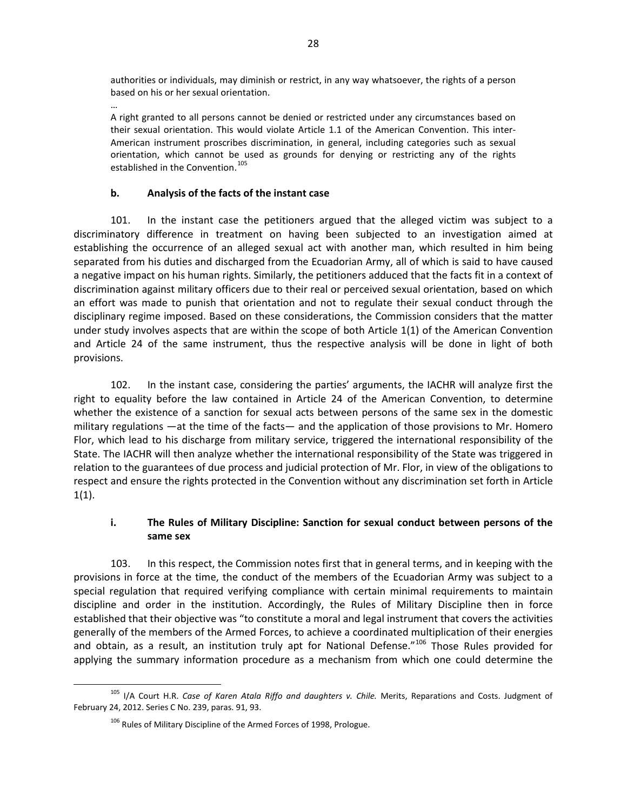authorities or individuals, may diminish or restrict, in any way whatsoever, the rights of a person based on his or her sexual orientation.

… A right granted to all persons cannot be denied or restricted under any circumstances based on their sexual orientation. This would violate Article 1.1 of the American Convention. This inter-American instrument proscribes discrimination, in general, including categories such as sexual orientation, which cannot be used as grounds for denying or restricting any of the rights established in the Convention.<sup>[105](#page-27-0)</sup>

# **b. Analysis of the facts of the instant case**

101. In the instant case the petitioners argued that the alleged victim was subject to a discriminatory difference in treatment on having been subjected to an investigation aimed at establishing the occurrence of an alleged sexual act with another man, which resulted in him being separated from his duties and discharged from the Ecuadorian Army, all of which is said to have caused a negative impact on his human rights. Similarly, the petitioners adduced that the facts fit in a context of discrimination against military officers due to their real or perceived sexual orientation, based on which an effort was made to punish that orientation and not to regulate their sexual conduct through the disciplinary regime imposed. Based on these considerations, the Commission considers that the matter under study involves aspects that are within the scope of both Article 1(1) of the American Convention and Article 24 of the same instrument, thus the respective analysis will be done in light of both provisions.

102. In the instant case, considering the parties' arguments, the IACHR will analyze first the right to equality before the law contained in Article 24 of the American Convention, to determine whether the existence of a sanction for sexual acts between persons of the same sex in the domestic military regulations —at the time of the facts— and the application of those provisions to Mr. Homero Flor, which lead to his discharge from military service, triggered the international responsibility of the State. The IACHR will then analyze whether the international responsibility of the State was triggered in relation to the guarantees of due process and judicial protection of Mr. Flor, in view of the obligations to respect and ensure the rights protected in the Convention without any discrimination set forth in Article  $1(1).$ 

# **i. The Rules of Military Discipline: Sanction for sexual conduct between persons of the same sex**

103. In this respect, the Commission notes first that in general terms, and in keeping with the provisions in force at the time, the conduct of the members of the Ecuadorian Army was subject to a special regulation that required verifying compliance with certain minimal requirements to maintain discipline and order in the institution. Accordingly, the Rules of Military Discipline then in force established that their objective was "to constitute a moral and legal instrument that covers the activities generally of the members of the Armed Forces, to achieve a coordinated multiplication of their energies and obtain, as a result, an institution truly apt for National Defense."<sup>[106](#page-27-1)</sup> Those Rules provided for applying the summary information procedure as a mechanism from which one could determine the

<span id="page-27-1"></span><span id="page-27-0"></span><sup>105</sup> I/A Court H.R. *Case of Karen Atala Riffo and daughters v. Chile.* Merits, Reparations and Costs. Judgment of February 24, 2012. Series C No. 239, paras. 91, 93.

<sup>&</sup>lt;sup>106</sup> Rules of Military Discipline of the Armed Forces of 1998, Prologue.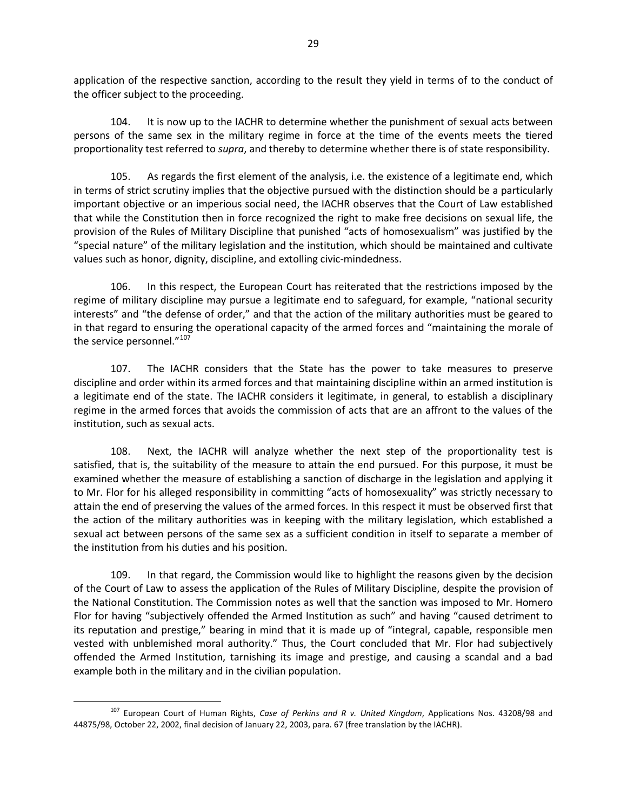application of the respective sanction, according to the result they yield in terms of to the conduct of the officer subject to the proceeding.

104. It is now up to the IACHR to determine whether the punishment of sexual acts between persons of the same sex in the military regime in force at the time of the events meets the tiered proportionality test referred to *supra*, and thereby to determine whether there is of state responsibility.

105. As regards the first element of the analysis, i.e. the existence of a legitimate end, which in terms of strict scrutiny implies that the objective pursued with the distinction should be a particularly important objective or an imperious social need, the IACHR observes that the Court of Law established that while the Constitution then in force recognized the right to make free decisions on sexual life, the provision of the Rules of Military Discipline that punished "acts of homosexualism" was justified by the "special nature" of the military legislation and the institution, which should be maintained and cultivate values such as honor, dignity, discipline, and extolling civic-mindedness.

106. In this respect, the European Court has reiterated that the restrictions imposed by the regime of military discipline may pursue a legitimate end to safeguard, for example, "national security interests" and "the defense of order," and that the action of the military authorities must be geared to in that regard to ensuring the operational capacity of the armed forces and "maintaining the morale of the service personnel."<sup>[107](#page-28-0)</sup>

107. The IACHR considers that the State has the power to take measures to preserve discipline and order within its armed forces and that maintaining discipline within an armed institution is a legitimate end of the state. The IACHR considers it legitimate, in general, to establish a disciplinary regime in the armed forces that avoids the commission of acts that are an affront to the values of the institution, such as sexual acts.

108. Next, the IACHR will analyze whether the next step of the proportionality test is satisfied, that is, the suitability of the measure to attain the end pursued. For this purpose, it must be examined whether the measure of establishing a sanction of discharge in the legislation and applying it to Mr. Flor for his alleged responsibility in committing "acts of homosexuality" was strictly necessary to attain the end of preserving the values of the armed forces. In this respect it must be observed first that the action of the military authorities was in keeping with the military legislation, which established a sexual act between persons of the same sex as a sufficient condition in itself to separate a member of the institution from his duties and his position.

109. In that regard, the Commission would like to highlight the reasons given by the decision of the Court of Law to assess the application of the Rules of Military Discipline, despite the provision of the National Constitution. The Commission notes as well that the sanction was imposed to Mr. Homero Flor for having "subjectively offended the Armed Institution as such" and having "caused detriment to its reputation and prestige," bearing in mind that it is made up of "integral, capable, responsible men vested with unblemished moral authority." Thus, the Court concluded that Mr. Flor had subjectively offended the Armed Institution, tarnishing its image and prestige, and causing a scandal and a bad example both in the military and in the civilian population.

<span id="page-28-0"></span><sup>107</sup> European Court of Human Rights, *Case of Perkins and R v. United Kingdom*, Applications Nos. 43208/98 and 44875/98, October 22, 2002, final decision of January 22, 2003, para. 67 (free translation by the IACHR).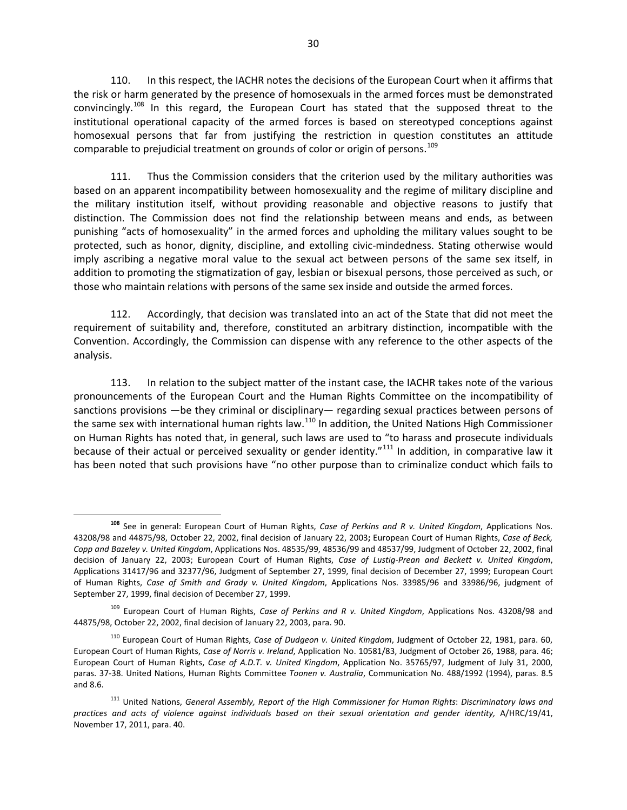110. In this respect, the IACHR notes the decisions of the European Court when it affirms that the risk or harm generated by the presence of homosexuals in the armed forces must be demonstrated convincingly.<sup>[108](#page-29-0)</sup> In this regard, the European Court has stated that the supposed threat to the institutional operational capacity of the armed forces is based on stereotyped conceptions against homosexual persons that far from justifying the restriction in question constitutes an attitude comparable to prejudicial treatment on grounds of color or origin of persons.<sup>[109](#page-29-1)</sup>

111. Thus the Commission considers that the criterion used by the military authorities was based on an apparent incompatibility between homosexuality and the regime of military discipline and the military institution itself, without providing reasonable and objective reasons to justify that distinction. The Commission does not find the relationship between means and ends, as between punishing "acts of homosexuality" in the armed forces and upholding the military values sought to be protected, such as honor, dignity, discipline, and extolling civic-mindedness. Stating otherwise would imply ascribing a negative moral value to the sexual act between persons of the same sex itself, in addition to promoting the stigmatization of gay, lesbian or bisexual persons, those perceived as such, or those who maintain relations with persons of the same sex inside and outside the armed forces.

112. Accordingly, that decision was translated into an act of the State that did not meet the requirement of suitability and, therefore, constituted an arbitrary distinction, incompatible with the Convention. Accordingly, the Commission can dispense with any reference to the other aspects of the analysis.

113. In relation to the subject matter of the instant case, the IACHR takes note of the various pronouncements of the European Court and the Human Rights Committee on the incompatibility of sanctions provisions —be they criminal or disciplinary— regarding sexual practices between persons of the same sex with international human rights law.<sup>[110](#page-29-2)</sup> In addition, the United Nations High Commissioner on Human Rights has noted that, in general, such laws are used to "to harass and prosecute individuals because of their actual or perceived sexuality or gender identity."<sup>[111](#page-29-3)</sup> In addition, in comparative law it has been noted that such provisions have "no other purpose than to criminalize conduct which fails to

<span id="page-29-0"></span>**<sup>108</sup>** See in general: European Court of Human Rights, *Case of Perkins and R v. United Kingdom*, Applications Nos. 43208/98 and 44875/98, October 22, 2002, final decision of January 22, 2003**;** European Court of Human Rights, *Case of Beck, Copp and Bazeley v. United Kingdom*, Applications Nos. 48535/99, 48536/99 and 48537/99, Judgment of October 22, 2002, final decision of January 22, 2003; European Court of Human Rights, *Case of Lustig-Prean and Beckett v. United Kingdom*, Applications 31417/96 and 32377/96, Judgment of September 27, 1999, final decision of December 27, 1999; European Court of Human Rights, *Case of Smith and Grady v. United Kingdom*, Applications Nos. 33985/96 and 33986/96, judgment of September 27, 1999, final decision of December 27, 1999.

<span id="page-29-1"></span><sup>109</sup> European Court of Human Rights, *Case of Perkins and R v. United Kingdom*, Applications Nos. 43208/98 and 44875/98, October 22, 2002, final decision of January 22, 2003, para. 90.

<span id="page-29-2"></span><sup>110</sup> European Court of Human Rights, *Case of Dudgeon v. United Kingdom*, Judgment of October 22, 1981, para. 60, European Court of Human Rights, *Case of Norris v. Ireland*, Application No. 10581/83, Judgment of October 26, 1988, para. 46; European Court of Human Rights, *Case of A.D.T. v. United Kingdom*, Application No. 35765/97, Judgment of July 31, 2000, paras. 37-38. United Nations, Human Rights Committee *Toonen v. Australia*, Communication No. 488/1992 (1994), paras. 8.5 and 8.6.

<span id="page-29-3"></span><sup>111</sup> United Nations, *General Assembly, Report of the High Commissioner for Human Rights*: *Discriminatory laws and practices and acts of violence against individuals based on their sexual orientation and gender identity,* A/HRC/19/41, November 17, 2011, para. 40.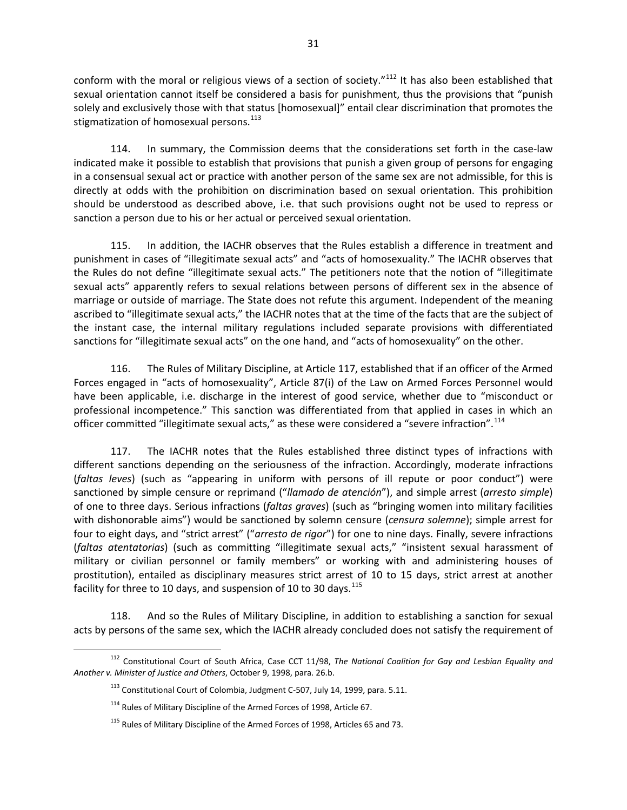conform with the moral or religious views of a section of society."<sup>[112](#page-30-0)</sup> It has also been established that sexual orientation cannot itself be considered a basis for punishment, thus the provisions that "punish solely and exclusively those with that status [homosexual]" entail clear discrimination that promotes the stigmatization of homosexual persons. [113](#page-30-1)

114. In summary, the Commission deems that the considerations set forth in the case-law indicated make it possible to establish that provisions that punish a given group of persons for engaging in a consensual sexual act or practice with another person of the same sex are not admissible, for this is directly at odds with the prohibition on discrimination based on sexual orientation. This prohibition should be understood as described above, i.e. that such provisions ought not be used to repress or sanction a person due to his or her actual or perceived sexual orientation.

115. In addition, the IACHR observes that the Rules establish a difference in treatment and punishment in cases of "illegitimate sexual acts" and "acts of homosexuality." The IACHR observes that the Rules do not define "illegitimate sexual acts." The petitioners note that the notion of "illegitimate sexual acts" apparently refers to sexual relations between persons of different sex in the absence of marriage or outside of marriage. The State does not refute this argument. Independent of the meaning ascribed to "illegitimate sexual acts," the IACHR notes that at the time of the facts that are the subject of the instant case, the internal military regulations included separate provisions with differentiated sanctions for "illegitimate sexual acts" on the one hand, and "acts of homosexuality" on the other.

116. The Rules of Military Discipline, at Article 117, established that if an officer of the Armed Forces engaged in "acts of homosexuality", Article 87(i) of the Law on Armed Forces Personnel would have been applicable, i.e. discharge in the interest of good service, whether due to "misconduct or professional incompetence." This sanction was differentiated from that applied in cases in which an officer committed "illegitimate sexual acts," as these were considered a "severe infraction".<sup>[114](#page-30-2)</sup>

117. The IACHR notes that the Rules established three distinct types of infractions with different sanctions depending on the seriousness of the infraction. Accordingly, moderate infractions (*faltas leves*) (such as "appearing in uniform with persons of ill repute or poor conduct") were sanctioned by simple censure or reprimand ("*llamado de atención*"), and simple arrest (*arresto simple*) of one to three days. Serious infractions (*faltas graves*) (such as "bringing women into military facilities with dishonorable aims") would be sanctioned by solemn censure (*censura solemne*); simple arrest for four to eight days, and "strict arrest" ("*arresto de rigor*") for one to nine days. Finally, severe infractions (*faltas atentatorias*) (such as committing "illegitimate sexual acts," "insistent sexual harassment of military or civilian personnel or family members" or working with and administering houses of prostitution), entailed as disciplinary measures strict arrest of 10 to 15 days, strict arrest at another facility for three to 10 days, and suspension of 10 to 30 days.  $115$ 

118. And so the Rules of Military Discipline, in addition to establishing a sanction for sexual acts by persons of the same sex, which the IACHR already concluded does not satisfy the requirement of

<span id="page-30-3"></span><span id="page-30-2"></span><span id="page-30-1"></span><span id="page-30-0"></span><sup>112</sup> Constitutional Court of South Africa, Case CCT 11/98, *The National Coalition for Gay and Lesbian Equality and Another v. Minister of Justice and Others*, October 9, 1998, para. 26.b.

 $113$  Constitutional Court of Colombia, Judgment C-507, July 14, 1999, para. 5.11.

<sup>&</sup>lt;sup>114</sup> Rules of Military Discipline of the Armed Forces of 1998, Article 67.

<sup>&</sup>lt;sup>115</sup> Rules of Military Discipline of the Armed Forces of 1998, Articles 65 and 73.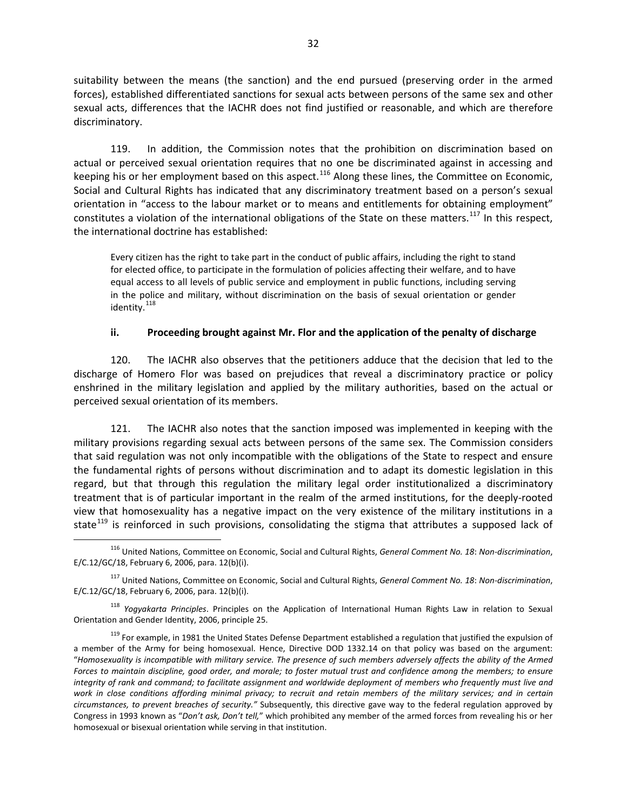suitability between the means (the sanction) and the end pursued (preserving order in the armed forces), established differentiated sanctions for sexual acts between persons of the same sex and other sexual acts, differences that the IACHR does not find justified or reasonable, and which are therefore discriminatory.

119. In addition, the Commission notes that the prohibition on discrimination based on actual or perceived sexual orientation requires that no one be discriminated against in accessing and keeping his or her employment based on this aspect.<sup>[116](#page-31-0)</sup> Along these lines, the Committee on Economic, Social and Cultural Rights has indicated that any discriminatory treatment based on a person's sexual orientation in "access to the labour market or to means and entitlements for obtaining employment" constitutes a violation of the international obligations of the State on these matters.<sup>[117](#page-31-1)</sup> In this respect, the international doctrine has established:

Every citizen has the right to take part in the conduct of public affairs, including the right to stand for elected office, to participate in the formulation of policies affecting their welfare, and to have equal access to all levels of public service and employment in public functions, including serving in the police and military, without discrimination on the basis of sexual orientation or gender identity.<sup>[118](#page-31-2)</sup>

#### **ii. Proceeding brought against Mr. Flor and the application of the penalty of discharge**

120. The IACHR also observes that the petitioners adduce that the decision that led to the discharge of Homero Flor was based on prejudices that reveal a discriminatory practice or policy enshrined in the military legislation and applied by the military authorities, based on the actual or perceived sexual orientation of its members.

121. The IACHR also notes that the sanction imposed was implemented in keeping with the military provisions regarding sexual acts between persons of the same sex. The Commission considers that said regulation was not only incompatible with the obligations of the State to respect and ensure the fundamental rights of persons without discrimination and to adapt its domestic legislation in this regard, but that through this regulation the military legal order institutionalized a discriminatory treatment that is of particular important in the realm of the armed institutions, for the deeply-rooted view that homosexuality has a negative impact on the very existence of the military institutions in a state<sup>[119](#page-31-3)</sup> is reinforced in such provisions, consolidating the stigma that attributes a supposed lack of

<span id="page-31-0"></span><sup>116</sup> United Nations, Committee on Economic, Social and Cultural Rights, *General Comment No. 18*: *Non-discrimination*, E/C.12/GC/18, February 6, 2006, para. 12(b)(i).

<span id="page-31-1"></span><sup>117</sup> United Nations, Committee on Economic, Social and Cultural Rights, *General Comment No. 18*: *Non-discrimination*, E/C.12/GC/18, February 6, 2006, para. 12(b)(i).

<span id="page-31-2"></span><sup>118</sup> *Yogyakarta Principles*. Principles on the Application of International Human Rights Law in relation to Sexual Orientation and Gender Identity, 2006, principle 25.

<span id="page-31-3"></span><sup>&</sup>lt;sup>119</sup> For example, in 1981 the United States Defense Department established a regulation that justified the expulsion of a member of the Army for being homosexual. Hence, Directive DOD 1332.14 on that policy was based on the argument: "*Homosexuality is incompatible with military service. The presence of such members adversely affects the ability of the Armed Forces to maintain discipline, good order, and morale; to foster mutual trust and confidence among the members; to ensure integrity of rank and command; to facilitate assignment and worldwide deployment of members who frequently must live and work in close conditions affording minimal privacy; to recruit and retain members of the military services; and in certain circumstances, to prevent breaches of security."* Subsequently, this directive gave way to the federal regulation approved by Congress in 1993 known as "*Don't ask, Don't tell,*" which prohibited any member of the armed forces from revealing his or her homosexual or bisexual orientation while serving in that institution.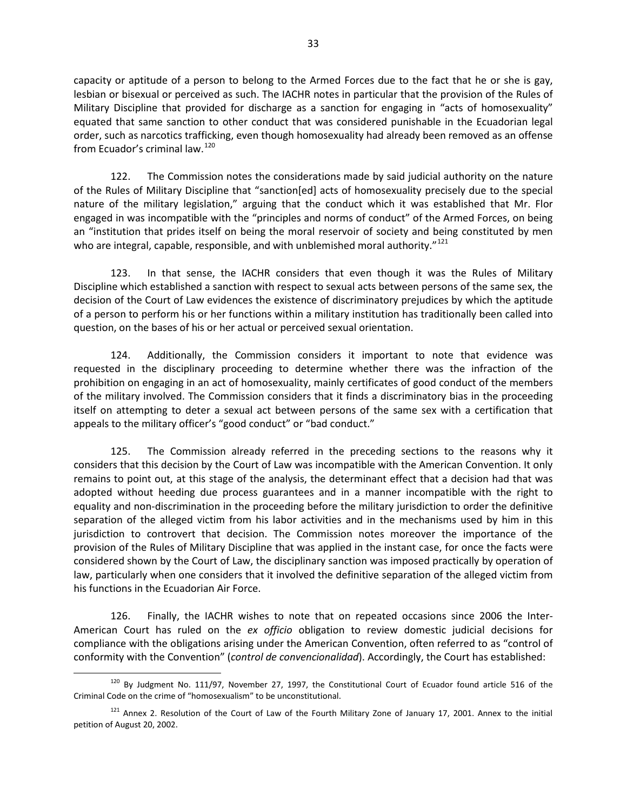capacity or aptitude of a person to belong to the Armed Forces due to the fact that he or she is gay, lesbian or bisexual or perceived as such. The IACHR notes in particular that the provision of the Rules of Military Discipline that provided for discharge as a sanction for engaging in "acts of homosexuality" equated that same sanction to other conduct that was considered punishable in the Ecuadorian legal order, such as narcotics trafficking, even though homosexuality had already been removed as an offense from Ecuador's criminal law.<sup>[120](#page-32-0)</sup>

122. The Commission notes the considerations made by said judicial authority on the nature of the Rules of Military Discipline that "sanction[ed] acts of homosexuality precisely due to the special nature of the military legislation," arguing that the conduct which it was established that Mr. Flor engaged in was incompatible with the "principles and norms of conduct" of the Armed Forces, on being an "institution that prides itself on being the moral reservoir of society and being constituted by men who are integral, capable, responsible, and with unblemished moral authority. $121$ 

123. In that sense, the IACHR considers that even though it was the Rules of Military Discipline which established a sanction with respect to sexual acts between persons of the same sex, the decision of the Court of Law evidences the existence of discriminatory prejudices by which the aptitude of a person to perform his or her functions within a military institution has traditionally been called into question, on the bases of his or her actual or perceived sexual orientation.

124. Additionally, the Commission considers it important to note that evidence was requested in the disciplinary proceeding to determine whether there was the infraction of the prohibition on engaging in an act of homosexuality, mainly certificates of good conduct of the members of the military involved. The Commission considers that it finds a discriminatory bias in the proceeding itself on attempting to deter a sexual act between persons of the same sex with a certification that appeals to the military officer's "good conduct" or "bad conduct."

125. The Commission already referred in the preceding sections to the reasons why it considers that this decision by the Court of Law was incompatible with the American Convention. It only remains to point out, at this stage of the analysis, the determinant effect that a decision had that was adopted without heeding due process guarantees and in a manner incompatible with the right to equality and non-discrimination in the proceeding before the military jurisdiction to order the definitive separation of the alleged victim from his labor activities and in the mechanisms used by him in this jurisdiction to controvert that decision. The Commission notes moreover the importance of the provision of the Rules of Military Discipline that was applied in the instant case, for once the facts were considered shown by the Court of Law, the disciplinary sanction was imposed practically by operation of law, particularly when one considers that it involved the definitive separation of the alleged victim from his functions in the Ecuadorian Air Force.

126. Finally, the IACHR wishes to note that on repeated occasions since 2006 the Inter-American Court has ruled on the *ex officio* obligation to review domestic judicial decisions for compliance with the obligations arising under the American Convention, often referred to as "control of conformity with the Convention" (*control de convencionalidad*). Accordingly, the Court has established:

<span id="page-32-0"></span><sup>&</sup>lt;sup>120</sup> By Judgment No. 111/97, November 27, 1997, the Constitutional Court of Ecuador found article 516 of the Criminal Code on the crime of "homosexualism" to be unconstitutional.

<span id="page-32-1"></span><sup>&</sup>lt;sup>121</sup> Annex 2. Resolution of the Court of Law of the Fourth Military Zone of January 17, 2001. Annex to the initial petition of August 20, 2002.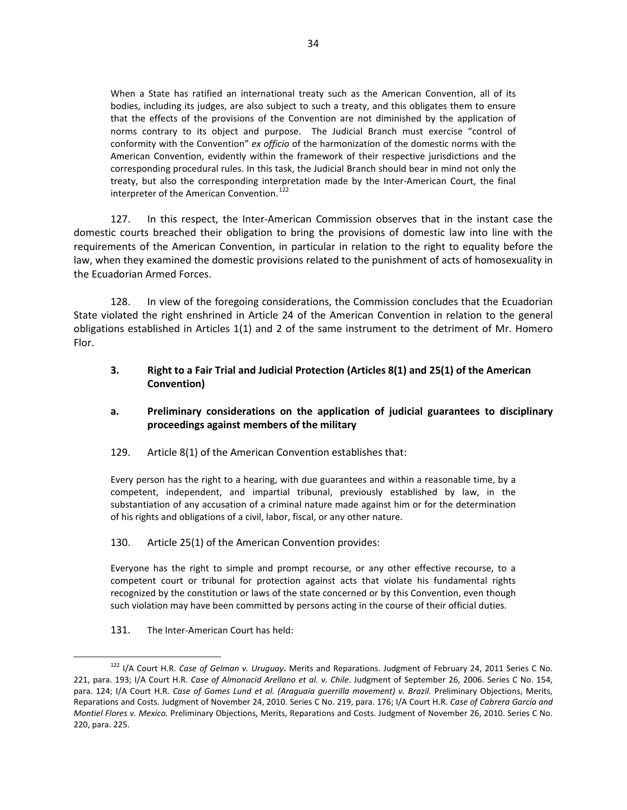When a State has ratified an international treaty such as the American Convention, all of its bodies, including its judges, are also subject to such a treaty, and this obligates them to ensure that the effects of the provisions of the Convention are not diminished by the application of norms contrary to its object and purpose. The Judicial Branch must exercise "control of conformity with the Convention" *ex officio* of the harmonization of the domestic norms with the American Convention, evidently within the framework of their respective jurisdictions and the corresponding procedural rules. In this task, the Judicial Branch should bear in mind not only the treaty, but also the corresponding interpretation made by the Inter-American Court, the final interpreter of the American Convention.<sup>[122](#page-33-1)</sup>

127. In this respect, the Inter-American Commission observes that in the instant case the domestic courts breached their obligation to bring the provisions of domestic law into line with the requirements of the American Convention, in particular in relation to the right to equality before the law, when they examined the domestic provisions related to the punishment of acts of homosexuality in the Ecuadorian Armed Forces.

128. In view of the foregoing considerations, the Commission concludes that the Ecuadorian State violated the right enshrined in Article 24 of the American Convention in relation to the general obligations established in Articles 1(1) and 2 of the same instrument to the detriment of Mr. Homero Flor.

### <span id="page-33-0"></span>**3. Right to a Fair Trial and Judicial Protection (Articles 8(1) and 25(1) of the American Convention)**

# **a. Preliminary considerations on the application of judicial guarantees to disciplinary proceedings against members of the military**

### 129. Article 8(1) of the American Convention establishes that:

Every person has the right to a hearing, with due guarantees and within a reasonable time, by a competent, independent, and impartial tribunal, previously established by law, in the substantiation of any accusation of a criminal nature made against him or for the determination of his rights and obligations of a civil, labor, fiscal, or any other nature.

#### 130. Article 25(1) of the American Convention provides:

Everyone has the right to simple and prompt recourse, or any other effective recourse, to a competent court or tribunal for protection against acts that violate his fundamental rights recognized by the constitution or laws of the state concerned or by this Convention, even though such violation may have been committed by persons acting in the course of their official duties.

131. The Inter-American Court has held:

<span id="page-33-1"></span><sup>122</sup> I/A Court H.R. *Case of Gelman v. Uruguay***.** Merits and Reparations. Judgment of February 24, 2011 Series C No. 221, para. 193; I/A Court H.R. *Case of Almonacid Arellano et al. v. Chile*. Judgment of September 26, 2006. Series C No. 154, para. 124; I/A Court H.R. *Case of Gomes Lund et al. (Araguaia guerrilla movement) v. Brazil.* Preliminary Objections, Merits, Reparations and Costs. Judgment of November 24, 2010. Series C No. 219, para. 176; I/A Court H.R. *Case of Cabrera García and Montiel Flores v. Mexico.* Preliminary Objections, Merits, Reparations and Costs. Judgment of November 26, 2010. Series C No. 220, para. 225.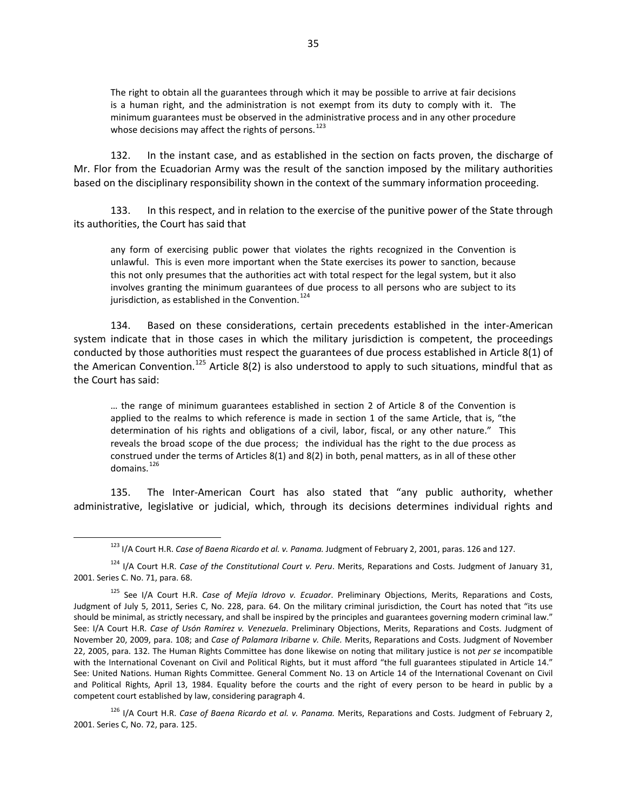The right to obtain all the guarantees through which it may be possible to arrive at fair decisions is a human right, and the administration is not exempt from its duty to comply with it. The minimum guarantees must be observed in the administrative process and in any other procedure whose decisions may affect the rights of persons.<sup>[123](#page-34-0)</sup>

132. In the instant case, and as established in the section on facts proven, the discharge of Mr. Flor from the Ecuadorian Army was the result of the sanction imposed by the military authorities based on the disciplinary responsibility shown in the context of the summary information proceeding.

133. In this respect, and in relation to the exercise of the punitive power of the State through its authorities, the Court has said that

any form of exercising public power that violates the rights recognized in the Convention is unlawful. This is even more important when the State exercises its power to sanction, because this not only presumes that the authorities act with total respect for the legal system, but it also involves granting the minimum guarantees of due process to all persons who are subject to its jurisdiction, as established in the Convention.  $^{124}$  $^{124}$  $^{124}$ 

134. Based on these considerations, certain precedents established in the inter-American system indicate that in those cases in which the military jurisdiction is competent, the proceedings conducted by those authorities must respect the guarantees of due process established in Article 8(1) of the American Convention.<sup>[125](#page-34-2)</sup> Article 8(2) is also understood to apply to such situations, mindful that as the Court has said:

… the range of minimum guarantees established in section 2 of Article 8 of the Convention is applied to the realms to which reference is made in section 1 of the same Article, that is, "the determination of his rights and obligations of a civil, labor, fiscal, or any other nature." This reveals the broad scope of the due process; the individual has the right to the due process as construed under the terms of Articles 8(1) and 8(2) in both, penal matters, as in all of these other domains.<sup>[126](#page-34-3)</sup>

135. The Inter-American Court has also stated that "any public authority, whether administrative, legislative or judicial, which, through its decisions determines individual rights and

<span id="page-34-3"></span><sup>126</sup> I/A Court H.R. *Case of Baena Ricardo et al. v. Panama.* Merits, Reparations and Costs. Judgment of February 2, 2001. Series C, No. 72, para. 125.

<sup>123</sup> I/A Court H.R. *Case of Baena Ricardo et al. v. Panama.* Judgment of February 2, 2001, paras. 126 and 127.

<span id="page-34-1"></span><span id="page-34-0"></span><sup>124</sup> I/A Court H.R. *Case of the Constitutional Court v. Peru*. Merits, Reparations and Costs. Judgment of January 31, 2001. Series C. No. 71, para. 68.

<span id="page-34-2"></span><sup>125</sup> See I/A Court H.R. *Case of Mejía Idrovo v. Ecuador*. Preliminary Objections, Merits, Reparations and Costs, Judgment of July 5, 2011, Series C, No. 228, para. 64. On the military criminal jurisdiction, the Court has noted that "its use should be minimal, as strictly necessary, and shall be inspired by the principles and guarantees governing modern criminal law." See: I/A Court H.R. *Case of Usón Ramírez v. Venezuela*. Preliminary Objections, Merits, Reparations and Costs. Judgment of November 20, 2009, para. 108; and *Case of Palamara Iribarne v. Chile.* Merits, Reparations and Costs. Judgment of November 22, 2005, para. 132. The Human Rights Committee has done likewise on noting that military justice is not *per se* incompatible with the International Covenant on Civil and Political Rights, but it must afford "the full guarantees stipulated in Article 14." See: United Nations. Human Rights Committee. General Comment No. 13 on Article 14 of the International Covenant on Civil and Political Rights, April 13, 1984. Equality before the courts and the right of every person to be heard in public by a competent court established by law, considering paragraph 4.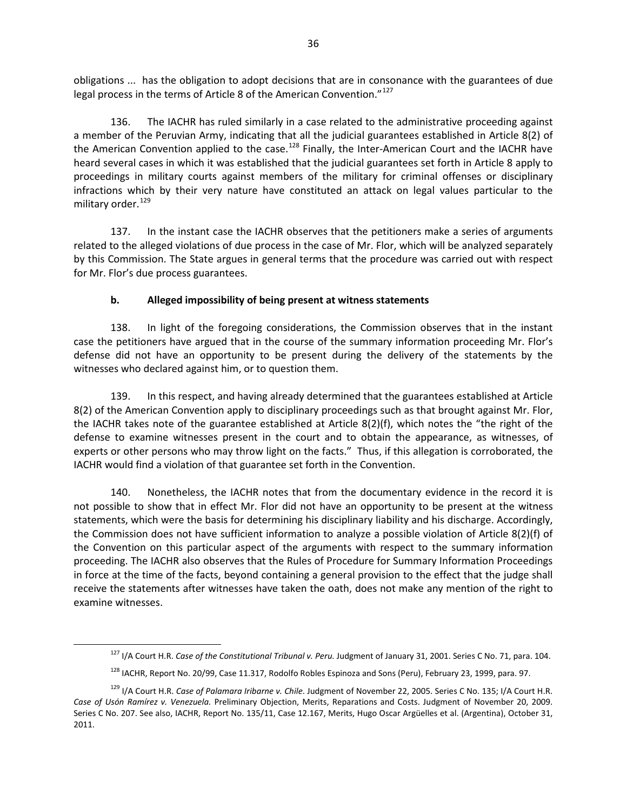obligations ... has the obligation to adopt decisions that are in consonance with the guarantees of due legal process in the terms of Article 8 of the American Convention."<sup>[127](#page-35-0)</sup>

136. The IACHR has ruled similarly in a case related to the administrative proceeding against a member of the Peruvian Army, indicating that all the judicial guarantees established in Article 8(2) of the American Convention applied to the case.<sup>[128](#page-35-1)</sup> Finally, the Inter-American Court and the IACHR have heard several cases in which it was established that the judicial guarantees set forth in Article 8 apply to proceedings in military courts against members of the military for criminal offenses or disciplinary infractions which by their very nature have constituted an attack on legal values particular to the military order.<sup>[129](#page-35-2)</sup>

137. In the instant case the IACHR observes that the petitioners make a series of arguments related to the alleged violations of due process in the case of Mr. Flor, which will be analyzed separately by this Commission. The State argues in general terms that the procedure was carried out with respect for Mr. Flor's due process guarantees.

# **b. Alleged impossibility of being present at witness statements**

138. In light of the foregoing considerations, the Commission observes that in the instant case the petitioners have argued that in the course of the summary information proceeding Mr. Flor's defense did not have an opportunity to be present during the delivery of the statements by the witnesses who declared against him, or to question them.

139. In this respect, and having already determined that the guarantees established at Article 8(2) of the American Convention apply to disciplinary proceedings such as that brought against Mr. Flor, the IACHR takes note of the guarantee established at Article 8(2)(f), which notes the "the right of the defense to examine witnesses present in the court and to obtain the appearance, as witnesses, of experts or other persons who may throw light on the facts." Thus, if this allegation is corroborated, the IACHR would find a violation of that guarantee set forth in the Convention.

140. Nonetheless, the IACHR notes that from the documentary evidence in the record it is not possible to show that in effect Mr. Flor did not have an opportunity to be present at the witness statements, which were the basis for determining his disciplinary liability and his discharge. Accordingly, the Commission does not have sufficient information to analyze a possible violation of Article 8(2)(f) of the Convention on this particular aspect of the arguments with respect to the summary information proceeding. The IACHR also observes that the Rules of Procedure for Summary Information Proceedings in force at the time of the facts, beyond containing a general provision to the effect that the judge shall receive the statements after witnesses have taken the oath, does not make any mention of the right to examine witnesses.

<sup>127</sup> I/A Court H.R. *Case of the Constitutional Tribunal v. Peru.* Judgment of January 31, 2001. Series C No. 71, para. 104.

<sup>&</sup>lt;sup>128</sup> IACHR, Report No. 20/99, Case 11.317, Rodolfo Robles Espinoza and Sons (Peru), February 23, 1999, para. 97.

<span id="page-35-2"></span><span id="page-35-1"></span><span id="page-35-0"></span><sup>129</sup> I/A Court H.R. *Case of Palamara Iribarne v. Chile*. Judgment of November 22, 2005. Series C No. 135; I/A Court H.R. *Case of Usón Ramírez v. Venezuela.* Preliminary Objection, Merits, Reparations and Costs. Judgment of November 20, 2009. Series C No. 207. See also, IACHR, Report No. 135/11, Case 12.167, Merits, Hugo Oscar Argüelles et al. (Argentina), October 31, 2011.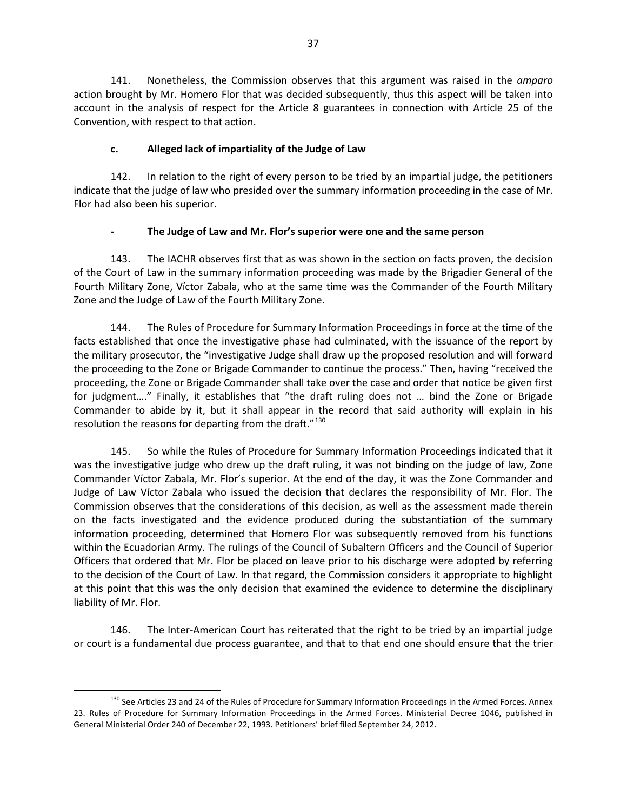141. Nonetheless, the Commission observes that this argument was raised in the *amparo* action brought by Mr. Homero Flor that was decided subsequently, thus this aspect will be taken into account in the analysis of respect for the Article 8 guarantees in connection with Article 25 of the Convention, with respect to that action.

### **c. Alleged lack of impartiality of the Judge of Law**

142. In relation to the right of every person to be tried by an impartial judge, the petitioners indicate that the judge of law who presided over the summary information proceeding in the case of Mr. Flor had also been his superior.

# **- The Judge of Law and Mr. Flor's superior were one and the same person**

143. The IACHR observes first that as was shown in the section on facts proven, the decision of the Court of Law in the summary information proceeding was made by the Brigadier General of the Fourth Military Zone, Víctor Zabala, who at the same time was the Commander of the Fourth Military Zone and the Judge of Law of the Fourth Military Zone.

144. The Rules of Procedure for Summary Information Proceedings in force at the time of the facts established that once the investigative phase had culminated, with the issuance of the report by the military prosecutor, the "investigative Judge shall draw up the proposed resolution and will forward the proceeding to the Zone or Brigade Commander to continue the process." Then, having "received the proceeding, the Zone or Brigade Commander shall take over the case and order that notice be given first for judgment…." Finally, it establishes that "the draft ruling does not … bind the Zone or Brigade Commander to abide by it, but it shall appear in the record that said authority will explain in his resolution the reasons for departing from the draft."<sup>[130](#page-36-0)</sup>

145. So while the Rules of Procedure for Summary Information Proceedings indicated that it was the investigative judge who drew up the draft ruling, it was not binding on the judge of law, Zone Commander Víctor Zabala, Mr. Flor's superior. At the end of the day, it was the Zone Commander and Judge of Law Víctor Zabala who issued the decision that declares the responsibility of Mr. Flor. The Commission observes that the considerations of this decision, as well as the assessment made therein on the facts investigated and the evidence produced during the substantiation of the summary information proceeding, determined that Homero Flor was subsequently removed from his functions within the Ecuadorian Army. The rulings of the Council of Subaltern Officers and the Council of Superior Officers that ordered that Mr. Flor be placed on leave prior to his discharge were adopted by referring to the decision of the Court of Law. In that regard, the Commission considers it appropriate to highlight at this point that this was the only decision that examined the evidence to determine the disciplinary liability of Mr. Flor.

146. The Inter-American Court has reiterated that the right to be tried by an impartial judge or court is a fundamental due process guarantee, and that to that end one should ensure that the trier

<span id="page-36-0"></span><sup>&</sup>lt;sup>130</sup> See Articles 23 and 24 of the Rules of Procedure for Summary Information Proceedings in the Armed Forces. Annex 23. Rules of Procedure for Summary Information Proceedings in the Armed Forces. Ministerial Decree 1046, published in General Ministerial Order 240 of December 22, 1993. Petitioners' brief filed September 24, 2012.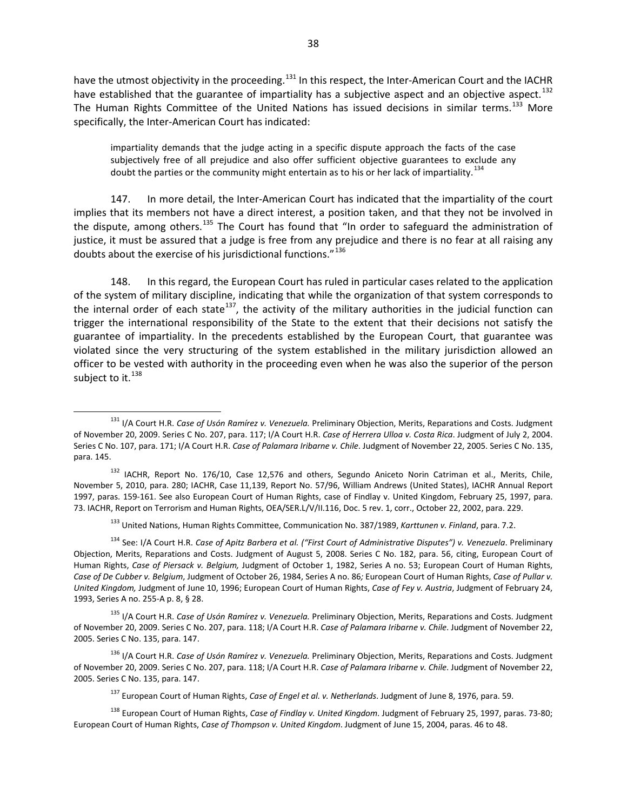have the utmost objectivity in the proceeding.<sup>[131](#page-37-0)</sup> In this respect, the Inter-American Court and the IACHR have established that the guarantee of impartiality has a subjective aspect and an objective aspect.<sup>[132](#page-37-1)</sup> The Human Rights Committee of the United Nations has issued decisions in similar terms.<sup>[133](#page-37-2)</sup> More specifically, the Inter-American Court has indicated:

impartiality demands that the judge acting in a specific dispute approach the facts of the case subjectively free of all prejudice and also offer sufficient objective guarantees to exclude any doubt the parties or the community might entertain as to his or her lack of impartiality.  $^{134}$  $^{134}$  $^{134}$ 

147. In more detail, the Inter-American Court has indicated that the impartiality of the court implies that its members not have a direct interest, a position taken, and that they not be involved in the dispute, among others.<sup>[135](#page-37-4)</sup> The Court has found that "In order to safeguard the administration of justice, it must be assured that a judge is free from any prejudice and there is no fear at all raising any doubts about the exercise of his jurisdictional functions."<sup>[136](#page-37-5)</sup>

148. In this regard, the European Court has ruled in particular cases related to the application of the system of military discipline, indicating that while the organization of that system corresponds to the internal order of each state<sup>137</sup>, the activity of the military authorities in the judicial function can trigger the international responsibility of the State to the extent that their decisions not satisfy the guarantee of impartiality. In the precedents established by the European Court, that guarantee was violated since the very structuring of the system established in the military jurisdiction allowed an officer to be vested with authority in the proceeding even when he was also the superior of the person subject to it. $^{138}$  $^{138}$  $^{138}$ 

<span id="page-37-0"></span><sup>131</sup> I/A Court H.R. *Case of Usón Ramírez v. Venezuela.* Preliminary Objection, Merits, Reparations and Costs. Judgment of November 20, 2009. Series C No. 207, para. 117; I/A Court H.R. *Case of Herrera Ulloa v. Costa Rica*. Judgment of July 2, 2004. Series C No. 107, para. 171; I/A Court H.R. *Case of Palamara Iribarne v. Chile*. Judgment of November 22, 2005. Series C No. 135, para. 145.

<span id="page-37-1"></span><sup>&</sup>lt;sup>132</sup> IACHR, Report No. 176/10, Case 12,576 and others, Segundo Aniceto Norin Catriman et al., Merits, Chile, November 5, 2010, para. 280; IACHR, Case 11,139, Report No. 57/96, William Andrews (United States), IACHR Annual Report 1997, paras. 159-161. See also European Court of Human Rights, case of Findlay v. United Kingdom, February 25, 1997, para. 73. IACHR, Report on Terrorism and Human Rights, OEA/SER.L/V/II.116, Doc. 5 rev. 1, corr., October 22, 2002, para. 229.

<sup>133</sup> United Nations, Human Rights Committee, Communication No. 387/1989, *Karttunen v. Finland*, para. 7.2.

<span id="page-37-3"></span><span id="page-37-2"></span><sup>134</sup> See: I/A Court H.R. *Case of Apitz Barbera et al. ("First Court of Administrative Disputes") v. Venezuela*. Preliminary Objection, Merits, Reparations and Costs. Judgment of August 5, 2008. Series C No. 182, para. 56, citing, European Court of Human Rights, *Case of Piersack v. Belgium,* Judgment of October 1, 1982, Series A no. 53; European Court of Human Rights, *Case of De Cubber v. Belgium*, Judgment of October 26, 1984, Series A no. 86*;* European Court of Human Rights, *Case of Pullar v. United Kingdom,* Judgment of June 10, 1996; European Court of Human Rights, *Case of Fey v. Austria*, Judgment of February 24, 1993, Series A no. 255-A p. 8, § 28.

<span id="page-37-4"></span><sup>135</sup> I/A Court H.R. *Case of Usón Ramírez v. Venezuela.* Preliminary Objection, Merits, Reparations and Costs. Judgment of November 20, 2009. Series C No. 207, para. 118; I/A Court H.R. *Case of Palamara Iribarne v. Chile*. Judgment of November 22, 2005. Series C No. 135, para. 147.

<span id="page-37-5"></span><sup>136</sup> I/A Court H.R. *Case of Usón Ramírez v. Venezuela.* Preliminary Objection, Merits, Reparations and Costs. Judgment of November 20, 2009. Series C No. 207, para. 118; I/A Court H.R. *Case of Palamara Iribarne v. Chile*. Judgment of November 22, 2005. Series C No. 135, para. 147.

<sup>137</sup> European Court of Human Rights, *Case of Engel et al. v. Netherlands*. Judgment of June 8, 1976, para. 59.

<span id="page-37-7"></span><span id="page-37-6"></span><sup>138</sup> European Court of Human Rights, *Case of Findlay v. United Kingdom*. Judgment of February 25, 1997, paras. 73-80; European Court of Human Rights, *Case of Thompson v. United Kingdom*. Judgment of June 15, 2004, paras. 46 to 48.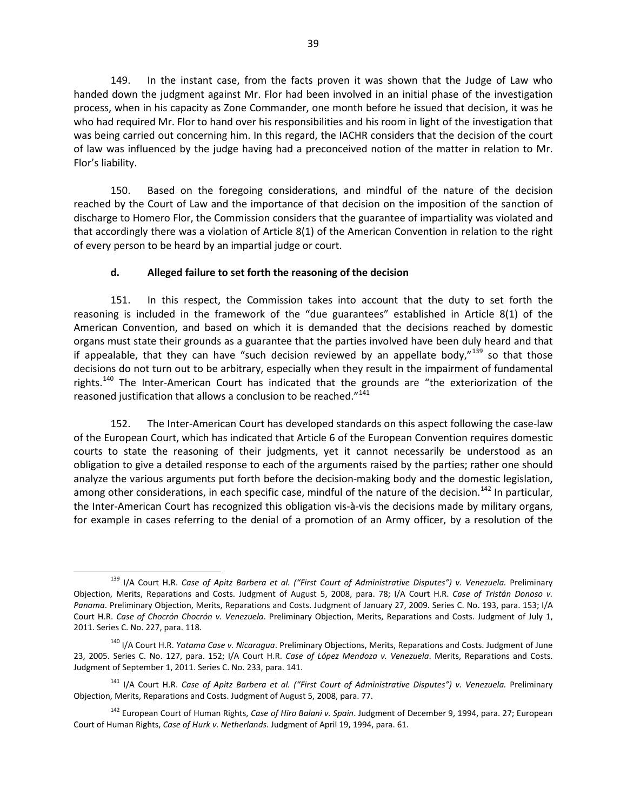149. In the instant case, from the facts proven it was shown that the Judge of Law who handed down the judgment against Mr. Flor had been involved in an initial phase of the investigation process, when in his capacity as Zone Commander, one month before he issued that decision, it was he who had required Mr. Flor to hand over his responsibilities and his room in light of the investigation that was being carried out concerning him. In this regard, the IACHR considers that the decision of the court of law was influenced by the judge having had a preconceived notion of the matter in relation to Mr. Flor's liability.

150. Based on the foregoing considerations, and mindful of the nature of the decision reached by the Court of Law and the importance of that decision on the imposition of the sanction of discharge to Homero Flor, the Commission considers that the guarantee of impartiality was violated and that accordingly there was a violation of Article 8(1) of the American Convention in relation to the right of every person to be heard by an impartial judge or court.

#### **d. Alleged failure to set forth the reasoning of the decision**

151. In this respect, the Commission takes into account that the duty to set forth the reasoning is included in the framework of the "due guarantees" established in Article 8(1) of the American Convention, and based on which it is demanded that the decisions reached by domestic organs must state their grounds as a guarantee that the parties involved have been duly heard and that if appealable, that they can have "such decision reviewed by an appellate body,"<sup>[139](#page-38-0)</sup> so that those decisions do not turn out to be arbitrary, especially when they result in the impairment of fundamental rights.<sup>[140](#page-38-1)</sup> The Inter-American Court has indicated that the grounds are "the exteriorization of the reasoned justification that allows a conclusion to be reached."<sup>[141](#page-38-2)</sup>

152. The Inter-American Court has developed standards on this aspect following the case-law of the European Court, which has indicated that Article 6 of the European Convention requires domestic courts to state the reasoning of their judgments, yet it cannot necessarily be understood as an obligation to give a detailed response to each of the arguments raised by the parties; rather one should analyze the various arguments put forth before the decision-making body and the domestic legislation, among other considerations, in each specific case, mindful of the nature of the decision.<sup>[142](#page-38-3)</sup> In particular, the Inter-American Court has recognized this obligation vis-à-vis the decisions made by military organs, for example in cases referring to the denial of a promotion of an Army officer, by a resolution of the

<span id="page-38-0"></span><sup>&</sup>lt;sup>139</sup> I/A Court H.R. *Case of Apitz Barbera et al. ("First Court of Administrative Disputes") v. Venezuela. Preliminary* Objection, Merits, Reparations and Costs. Judgment of August 5, 2008, para. 78; I/A Court H.R. *Case of Tristán Donoso v. Panama*. Preliminary Objection, Merits, Reparations and Costs. Judgment of January 27, 2009. Series C. No. 193, para. 153; I/A Court H.R. *Case of Chocrón Chocrón v. Venezuela*. Preliminary Objection, Merits, Reparations and Costs. Judgment of July 1, 2011. Series C. No. 227, para. 118.

<span id="page-38-1"></span><sup>140</sup> I/A Court H.R. *Yatama Case v. Nicaragua*. Preliminary Objections, Merits, Reparations and Costs. Judgment of June 23, 2005. Series C. No. 127, para. 152; I/A Court H.R. *Case of López Mendoza v. Venezuela*. Merits, Reparations and Costs. Judgment of September 1, 2011. Series C. No. 233, para. 141.

<span id="page-38-2"></span><sup>&</sup>lt;sup>141</sup> I/A Court H.R. *Case of Apitz Barbera et al. ("First Court of Administrative Disputes") v. Venezuela. Preliminary* Objection, Merits, Reparations and Costs. Judgment of August 5, 2008, para. 77.

<span id="page-38-3"></span><sup>142</sup> European Court of Human Rights, *Case of Hiro Balani v. Spain*. Judgment of December 9, 1994, para. 27; European Court of Human Rights, *Case of Hurk v. Netherlands*. Judgment of April 19, 1994, para. 61.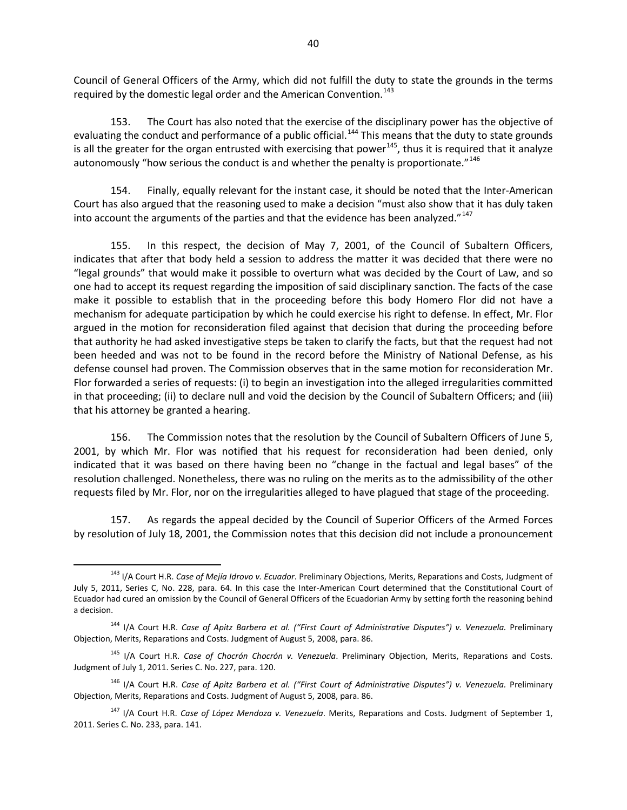Council of General Officers of the Army, which did not fulfill the duty to state the grounds in the terms required by the domestic legal order and the American Convention.<sup>[143](#page-39-0)</sup>

153. The Court has also noted that the exercise of the disciplinary power has the objective of evaluating the conduct and performance of a public official.<sup>[144](#page-39-1)</sup> This means that the duty to state grounds is all the greater for the organ entrusted with exercising that power<sup>[145](#page-39-2)</sup>, thus it is required that it analyze autonomously "how serious the conduct is and whether the penalty is proportionate."<sup>[146](#page-39-3)</sup>

154. Finally, equally relevant for the instant case, it should be noted that the Inter-American Court has also argued that the reasoning used to make a decision "must also show that it has duly taken into account the arguments of the parties and that the evidence has been analyzed."<sup>[147](#page-39-4)</sup>

155. In this respect, the decision of May 7, 2001, of the Council of Subaltern Officers, indicates that after that body held a session to address the matter it was decided that there were no "legal grounds" that would make it possible to overturn what was decided by the Court of Law, and so one had to accept its request regarding the imposition of said disciplinary sanction. The facts of the case make it possible to establish that in the proceeding before this body Homero Flor did not have a mechanism for adequate participation by which he could exercise his right to defense. In effect, Mr. Flor argued in the motion for reconsideration filed against that decision that during the proceeding before that authority he had asked investigative steps be taken to clarify the facts, but that the request had not been heeded and was not to be found in the record before the Ministry of National Defense, as his defense counsel had proven. The Commission observes that in the same motion for reconsideration Mr. Flor forwarded a series of requests: (i) to begin an investigation into the alleged irregularities committed in that proceeding; (ii) to declare null and void the decision by the Council of Subaltern Officers; and (iii) that his attorney be granted a hearing.

156. The Commission notes that the resolution by the Council of Subaltern Officers of June 5, 2001, by which Mr. Flor was notified that his request for reconsideration had been denied, only indicated that it was based on there having been no "change in the factual and legal bases" of the resolution challenged. Nonetheless, there was no ruling on the merits as to the admissibility of the other requests filed by Mr. Flor, nor on the irregularities alleged to have plagued that stage of the proceeding.

157. As regards the appeal decided by the Council of Superior Officers of the Armed Forces by resolution of July 18, 2001, the Commission notes that this decision did not include a pronouncement

<span id="page-39-0"></span><sup>143</sup> I/A Court H.R. *Case of Mejía Idrovo v. Ecuador*. Preliminary Objections, Merits, Reparations and Costs, Judgment of July 5, 2011, Series C, No. 228, para. 64. In this case the Inter-American Court determined that the Constitutional Court of Ecuador had cured an omission by the Council of General Officers of the Ecuadorian Army by setting forth the reasoning behind a decision.

<span id="page-39-1"></span><sup>&</sup>lt;sup>144</sup> I/A Court H.R. Case of Apitz Barbera et al. ("First Court of Administrative Disputes") v. Venezuela. Preliminary Objection, Merits, Reparations and Costs. Judgment of August 5, 2008, para. 86.

<span id="page-39-2"></span><sup>145</sup> I/A Court H.R. *Case of Chocrón Chocrón v. Venezuela*. Preliminary Objection, Merits, Reparations and Costs. Judgment of July 1, 2011. Series C. No. 227, para. 120.

<span id="page-39-3"></span><sup>&</sup>lt;sup>146</sup> I/A Court H.R. *Case of Apitz Barbera et al. ("First Court of Administrative Disputes") v. Venezuela. Preliminary* Objection, Merits, Reparations and Costs. Judgment of August 5, 2008, para. 86.

<span id="page-39-4"></span><sup>147</sup> I/A Court H.R. *Case of López Mendoza v. Venezuela*. Merits, Reparations and Costs. Judgment of September 1, 2011. Series C. No. 233, para. 141.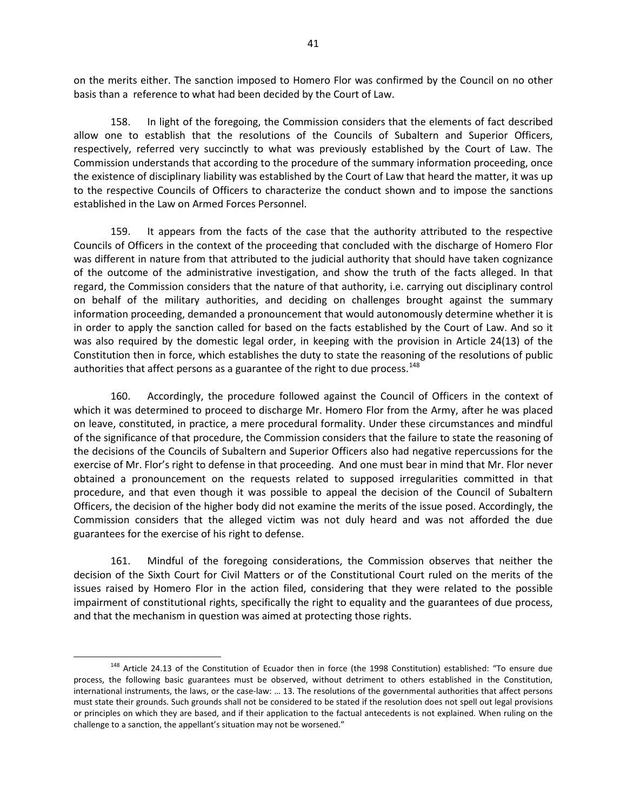on the merits either. The sanction imposed to Homero Flor was confirmed by the Council on no other basis than a reference to what had been decided by the Court of Law.

158. In light of the foregoing, the Commission considers that the elements of fact described allow one to establish that the resolutions of the Councils of Subaltern and Superior Officers, respectively, referred very succinctly to what was previously established by the Court of Law. The Commission understands that according to the procedure of the summary information proceeding, once the existence of disciplinary liability was established by the Court of Law that heard the matter, it was up to the respective Councils of Officers to characterize the conduct shown and to impose the sanctions established in the Law on Armed Forces Personnel.

159. It appears from the facts of the case that the authority attributed to the respective Councils of Officers in the context of the proceeding that concluded with the discharge of Homero Flor was different in nature from that attributed to the judicial authority that should have taken cognizance of the outcome of the administrative investigation, and show the truth of the facts alleged. In that regard, the Commission considers that the nature of that authority, i.e. carrying out disciplinary control on behalf of the military authorities, and deciding on challenges brought against the summary information proceeding, demanded a pronouncement that would autonomously determine whether it is in order to apply the sanction called for based on the facts established by the Court of Law. And so it was also required by the domestic legal order, in keeping with the provision in Article 24(13) of the Constitution then in force, which establishes the duty to state the reasoning of the resolutions of public authorities that affect persons as a guarantee of the right to due process.<sup>[148](#page-40-0)</sup>

160. Accordingly, the procedure followed against the Council of Officers in the context of which it was determined to proceed to discharge Mr. Homero Flor from the Army, after he was placed on leave, constituted, in practice, a mere procedural formality. Under these circumstances and mindful of the significance of that procedure, the Commission considers that the failure to state the reasoning of the decisions of the Councils of Subaltern and Superior Officers also had negative repercussions for the exercise of Mr. Flor's right to defense in that proceeding. And one must bear in mind that Mr. Flor never obtained a pronouncement on the requests related to supposed irregularities committed in that procedure, and that even though it was possible to appeal the decision of the Council of Subaltern Officers, the decision of the higher body did not examine the merits of the issue posed. Accordingly, the Commission considers that the alleged victim was not duly heard and was not afforded the due guarantees for the exercise of his right to defense.

161. Mindful of the foregoing considerations, the Commission observes that neither the decision of the Sixth Court for Civil Matters or of the Constitutional Court ruled on the merits of the issues raised by Homero Flor in the action filed, considering that they were related to the possible impairment of constitutional rights, specifically the right to equality and the guarantees of due process, and that the mechanism in question was aimed at protecting those rights.

<span id="page-40-0"></span><sup>&</sup>lt;sup>148</sup> Article 24.13 of the Constitution of Ecuador then in force (the 1998 Constitution) established: "To ensure due process, the following basic guarantees must be observed, without detriment to others established in the Constitution, international instruments, the laws, or the case-law: … 13. The resolutions of the governmental authorities that affect persons must state their grounds. Such grounds shall not be considered to be stated if the resolution does not spell out legal provisions or principles on which they are based, and if their application to the factual antecedents is not explained. When ruling on the challenge to a sanction, the appellant's situation may not be worsened."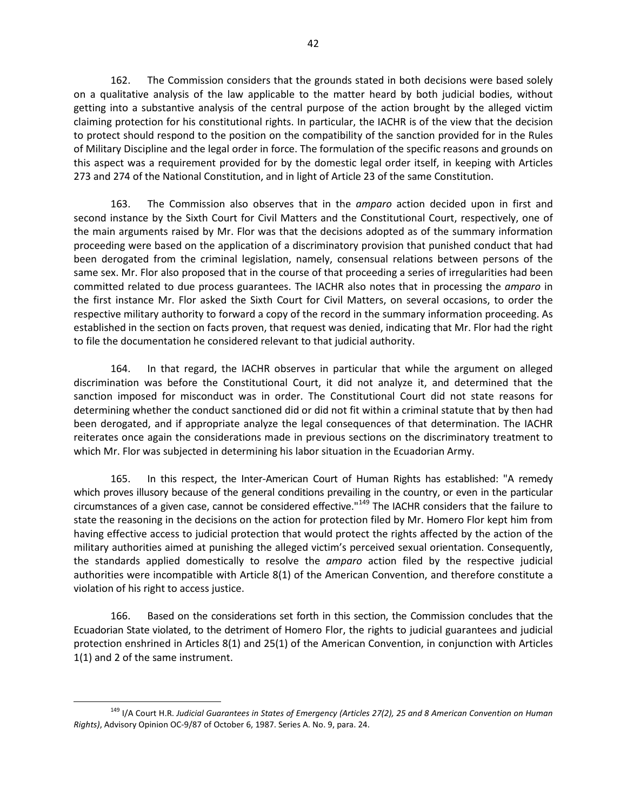162. The Commission considers that the grounds stated in both decisions were based solely on a qualitative analysis of the law applicable to the matter heard by both judicial bodies, without getting into a substantive analysis of the central purpose of the action brought by the alleged victim claiming protection for his constitutional rights. In particular, the IACHR is of the view that the decision to protect should respond to the position on the compatibility of the sanction provided for in the Rules of Military Discipline and the legal order in force. The formulation of the specific reasons and grounds on this aspect was a requirement provided for by the domestic legal order itself, in keeping with Articles 273 and 274 of the National Constitution, and in light of Article 23 of the same Constitution.

163. The Commission also observes that in the *amparo* action decided upon in first and second instance by the Sixth Court for Civil Matters and the Constitutional Court, respectively, one of the main arguments raised by Mr. Flor was that the decisions adopted as of the summary information proceeding were based on the application of a discriminatory provision that punished conduct that had been derogated from the criminal legislation, namely, consensual relations between persons of the same sex. Mr. Flor also proposed that in the course of that proceeding a series of irregularities had been committed related to due process guarantees. The IACHR also notes that in processing the *amparo* in the first instance Mr. Flor asked the Sixth Court for Civil Matters, on several occasions, to order the respective military authority to forward a copy of the record in the summary information proceeding. As established in the section on facts proven, that request was denied, indicating that Mr. Flor had the right to file the documentation he considered relevant to that judicial authority.

164. In that regard, the IACHR observes in particular that while the argument on alleged discrimination was before the Constitutional Court, it did not analyze it, and determined that the sanction imposed for misconduct was in order. The Constitutional Court did not state reasons for determining whether the conduct sanctioned did or did not fit within a criminal statute that by then had been derogated, and if appropriate analyze the legal consequences of that determination. The IACHR reiterates once again the considerations made in previous sections on the discriminatory treatment to which Mr. Flor was subjected in determining his labor situation in the Ecuadorian Army.

165. In this respect, the Inter-American Court of Human Rights has established: "A remedy which proves illusory because of the general conditions prevailing in the country, or even in the particular circumstances of a given case, cannot be considered effective."<sup>[149](#page-41-0)</sup> The IACHR considers that the failure to state the reasoning in the decisions on the action for protection filed by Mr. Homero Flor kept him from having effective access to judicial protection that would protect the rights affected by the action of the military authorities aimed at punishing the alleged victim's perceived sexual orientation. Consequently, the standards applied domestically to resolve the *amparo* action filed by the respective judicial authorities were incompatible with Article 8(1) of the American Convention, and therefore constitute a violation of his right to access justice.

166. Based on the considerations set forth in this section, the Commission concludes that the Ecuadorian State violated, to the detriment of Homero Flor, the rights to judicial guarantees and judicial protection enshrined in Articles 8(1) and 25(1) of the American Convention, in conjunction with Articles 1(1) and 2 of the same instrument.

<span id="page-41-0"></span><sup>149</sup> I/A Court H.R. *Judicial Guarantees in States of Emergency (Articles 27(2), 25 and 8 American Convention on Human Rights)*, Advisory Opinion OC-9/87 of October 6, 1987. Series A. No. 9, para. 24.